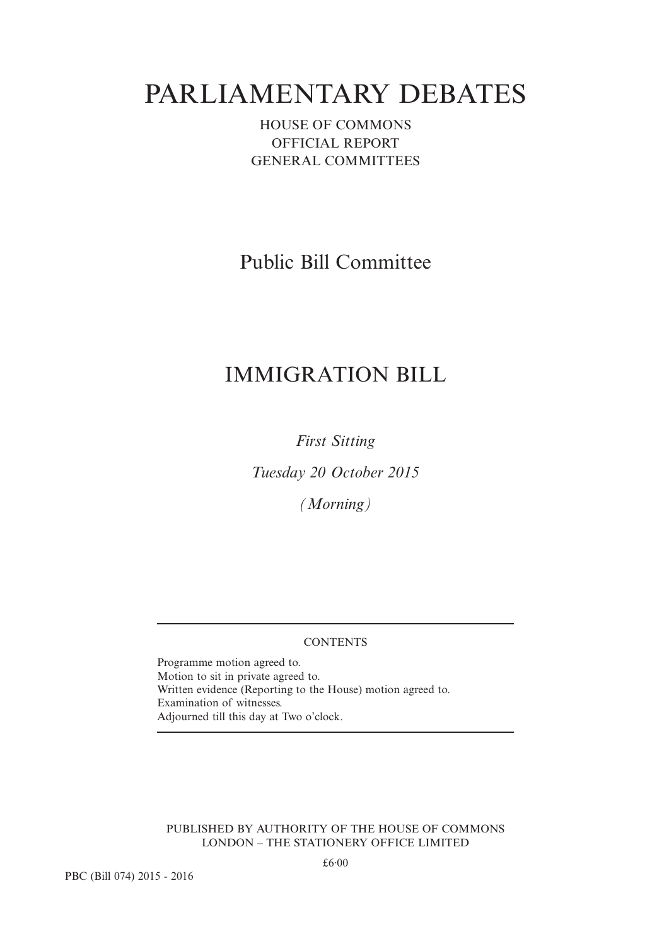# PARLIAMENTARY DEBATES

### HOUSE OF COMMONS OFFICIAL REPORT GENERAL COMMITTEES

Public Bill Committee

## IMMIGRATION BILL

*First Sitting*

*Tuesday 20 October 2015*

*(Morning)*

#### **CONTENTS**

Programme motion agreed to. Motion to sit in private agreed to. Written evidence (Reporting to the House) motion agreed to. Examination of witnesses. Adjourned till this day at Two o'clock.

PUBLISHED BY AUTHORITY OF THE HOUSE OF COMMONS LONDON – THE STATIONERY OFFICE LIMITED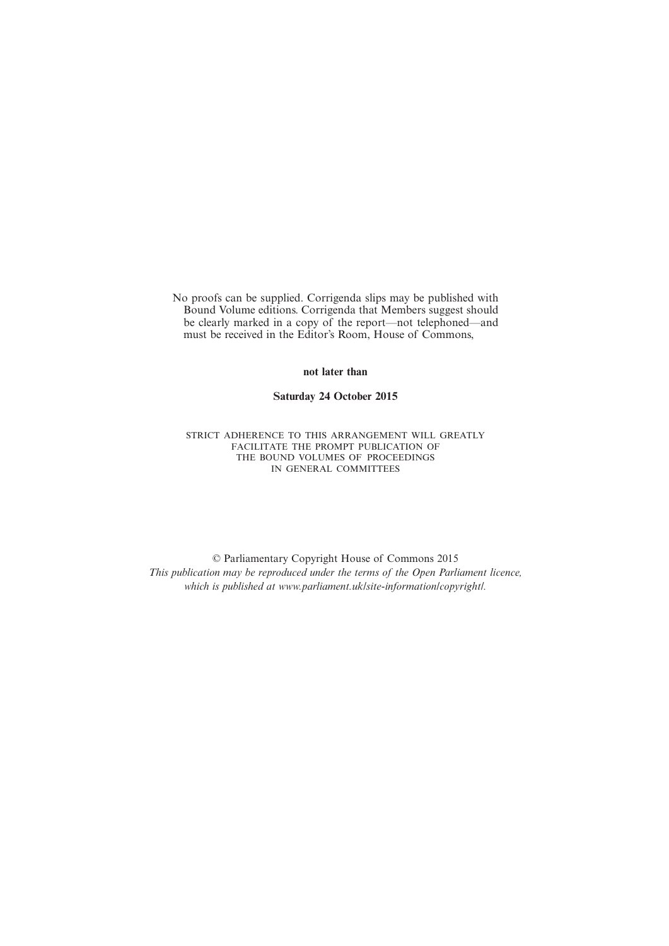No proofs can be supplied. Corrigenda slips may be published with Bound Volume editions. Corrigenda that Members suggest should be clearly marked in a copy of the report—not telephoned—and must be received in the Editor's Room, House of Commons,

**not later than**

**Saturday 24 October 2015**

STRICT ADHERENCE TO THIS ARRANGEMENT WILL GREATLY FACILITATE THE PROMPT PUBLICATION OF THE BOUND VOLUMES OF PROCEEDINGS IN GENERAL COMMITTEES

© Parliamentary Copyright House of Commons 2015 *This publication may be reproduced under the terms of the Open Parliament licence, which is published at www.parliament.uk/site-information/copyright/.*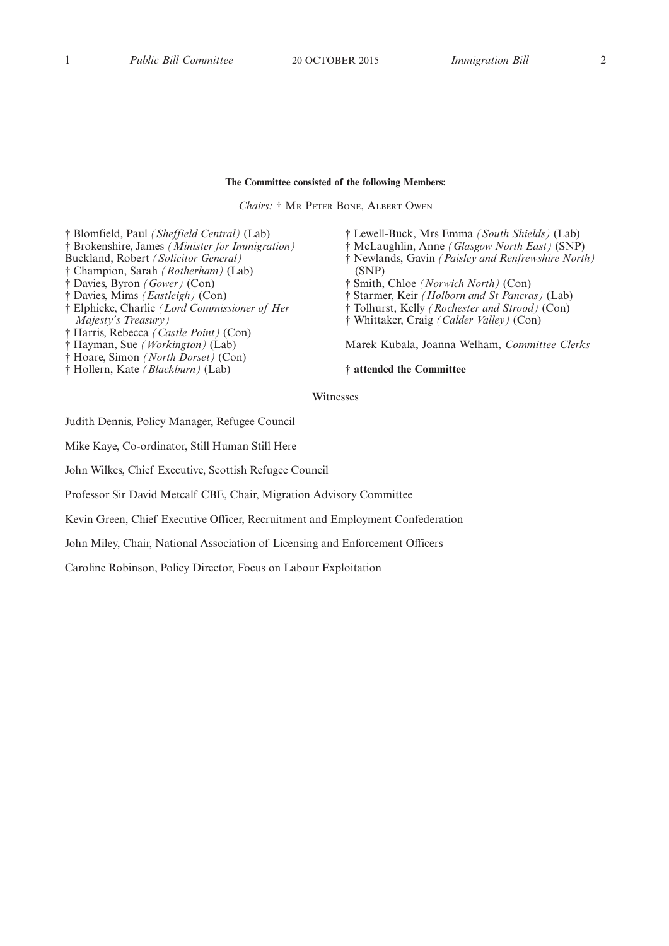#### **The Committee consisted of the following Members:**

*Chairs:* † MR PETER BONE, ALBERT OWEN

† Blomfield, Paul *(Sheffield Central)* (Lab) † Brokenshire, James *(Minister for Immigration)* Buckland, Robert *(Solicitor General)* † Champion, Sarah *(Rotherham)* (Lab) † Davies, Byron *(Gower)* (Con) † Davies, Mims *(Eastleigh)* (Con) † Elphicke, Charlie *(Lord Commissioner of Her Majesty's Treasury)* † Harris, Rebecca *(Castle Point)* (Con) † Hayman, Sue *(Workington)* (Lab) † Hoare, Simon *(North Dorset)* (Con)

† Hollern, Kate *(Blackburn)* (Lab)

- † Lewell-Buck, Mrs Emma *(South Shields)* (Lab)
- † McLaughlin, Anne *(Glasgow North East)* (SNP)
- † Newlands, Gavin *(Paisley and Renfrewshire North)* (SNP)
- † Smith, Chloe *(Norwich North)* (Con)
- † Starmer, Keir *(Holborn and St Pancras)* (Lab)
- † Tolhurst, Kelly *(Rochester and Strood)* (Con)
- † Whittaker, Craig *(Calder Valley)* (Con)

Marek Kubala, Joanna Welham, *Committee Clerks*

#### **† attended the Committee**

Witnesses

Judith Dennis, Policy Manager, Refugee Council

Mike Kaye, Co-ordinator, Still Human Still Here

John Wilkes, Chief Executive, Scottish Refugee Council

Professor Sir David Metcalf CBE, Chair, Migration Advisory Committee

Kevin Green, Chief Executive Officer, Recruitment and Employment Confederation

John Miley, Chair, National Association of Licensing and Enforcement Officers

Caroline Robinson, Policy Director, Focus on Labour Exploitation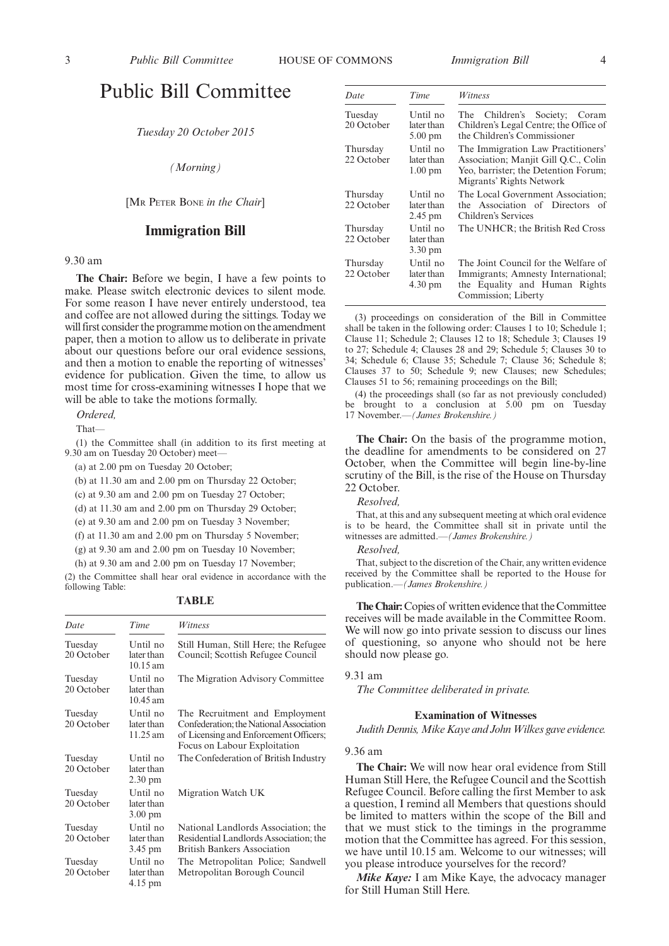### Public Bill Committee

*Tuesday 20 October 2015*

*(Morning)*

[MR PETER BONE *in the Chair*]

#### **Immigration Bill**

#### 9.30 am

**The Chair:** Before we begin, I have a few points to make. Please switch electronic devices to silent mode. For some reason I have never entirely understood, tea and coffee are not allowed during the sittings. Today we will first consider the programme motion on the amendment paper, then a motion to allow us to deliberate in private about our questions before our oral evidence sessions, and then a motion to enable the reporting of witnesses' evidence for publication. Given the time, to allow us most time for cross-examining witnesses I hope that we will be able to take the motions formally.

*Ordered,*

That—

(1) the Committee shall (in addition to its first meeting at 9.30 am on Tuesday 20 October) meet—

(a) at 2.00 pm on Tuesday 20 October;

(b) at 11.30 am and 2.00 pm on Thursday 22 October;

(c) at 9.30 am and 2.00 pm on Tuesday 27 October;

(d) at 11.30 am and 2.00 pm on Thursday 29 October;

(e) at 9.30 am and 2.00 pm on Tuesday 3 November;

(f) at 11.30 am and 2.00 pm on Thursday 5 November;

(g) at 9.30 am and 2.00 pm on Tuesday 10 November;

(h) at 9.30 am and 2.00 pm on Tuesday 17 November;

(2) the Committee shall hear oral evidence in accordance with the following Table:

|  | ш |  |
|--|---|--|
|--|---|--|

| Date                  | Time                                         | Witness                                                                                                                                             |
|-----------------------|----------------------------------------------|-----------------------------------------------------------------------------------------------------------------------------------------------------|
| Tuesday<br>20 October | Until no<br>later than<br>$10.15 \text{ am}$ | Still Human, Still Here; the Refugee<br>Council; Scottish Refugee Council                                                                           |
| Tuesday<br>20 October | Until no<br>later than<br>$10.45$ am         | The Migration Advisory Committee                                                                                                                    |
| Tuesday<br>20 October | Until no<br>later than<br>11.25 am           | The Recruitment and Employment<br>Confederation; the National Association<br>of Licensing and Enforcement Officers;<br>Focus on Labour Exploitation |
| Tuesday<br>20 October | Until no<br>later than<br>$2.30 \text{ pm}$  | The Confederation of British Industry                                                                                                               |
| Tuesday<br>20 October | Until no<br>later than<br>$3.00 \text{ pm}$  | Migration Watch UK                                                                                                                                  |
| Tuesday<br>20 October | Until no<br>later than<br>3.45 pm            | National Landlords Association; the<br>Residential Landlords Association; the<br><b>British Bankers Association</b>                                 |
| Tuesday<br>20 October | Until no<br>later than<br>$4.15 \text{ pm}$  | The Metropolitan Police; Sandwell<br>Metropolitan Borough Council                                                                                   |

| Date                   | Time                                        | Witness                                                                                                                                        |
|------------------------|---------------------------------------------|------------------------------------------------------------------------------------------------------------------------------------------------|
| Tuesday<br>20 October  | Until no<br>later than<br>$5.00 \text{ pm}$ | The Children's Society; Coram<br>Children's Legal Centre; the Office of<br>the Children's Commissioner                                         |
| Thursday<br>22 October | Until no<br>later than<br>$1.00 \text{ pm}$ | The Immigration Law Practitioners'<br>Association; Manjit Gill O.C., Colin<br>Yeo, barrister; the Detention Forum;<br>Migrants' Rights Network |
| Thursday<br>22 October | Until no<br>later than<br>$2.45 \text{ pm}$ | The Local Government Association:<br>the Association of Directors of<br>Children's Services                                                    |
| Thursday<br>22 October | Until no<br>later than<br>$3.30 \text{ pm}$ | The UNHCR; the British Red Cross                                                                                                               |
| Thursday<br>22 October | Until no<br>later than<br>4.30 pm           | The Joint Council for the Welfare of<br>Immigrants; Amnesty International;<br>the Equality and Human Rights<br>Commission; Liberty             |

(3) proceedings on consideration of the Bill in Committee shall be taken in the following order: Clauses 1 to 10; Schedule 1; Clause 11; Schedule 2; Clauses 12 to 18; Schedule 3; Clauses 19 to 27; Schedule 4; Clauses 28 and 29; Schedule 5; Clauses 30 to 34; Schedule 6; Clause 35; Schedule 7; Clause 36; Schedule 8; Clauses 37 to 50; Schedule 9; new Clauses; new Schedules; Clauses 51 to 56; remaining proceedings on the Bill;

(4) the proceedings shall (so far as not previously concluded) be brought to a conclusion at 5.00 pm on Tuesday 17 November.—*(James Brokenshire.)*

**The Chair:** On the basis of the programme motion, the deadline for amendments to be considered on 27 October, when the Committee will begin line-by-line scrutiny of the Bill, is the rise of the House on Thursday 22 October.

#### *Resolved,*

That, at this and any subsequent meeting at which oral evidence is to be heard, the Committee shall sit in private until the witnesses are admitted.—*(James Brokenshire.)*

*Resolved,*

That, subject to the discretion of the Chair, any written evidence received by the Committee shall be reported to the House for publication.—*(James Brokenshire.)*

**The Chair:**Copies of written evidence that the Committee receives will be made available in the Committee Room. We will now go into private session to discuss our lines of questioning, so anyone who should not be here should now please go.

9.31 am

*The Committee deliberated in private.*

#### **Examination of Witnesses**

Judith Dennis, Mike Kaye and John Wilkes gave evidence.

#### 9.36 am

**The Chair:** We will now hear oral evidence from Still Human Still Here, the Refugee Council and the Scottish Refugee Council. Before calling the first Member to ask a question, I remind all Members that questions should be limited to matters within the scope of the Bill and that we must stick to the timings in the programme motion that the Committee has agreed. For this session, we have until 10.15 am. Welcome to our witnesses; will you please introduce yourselves for the record?

*Mike Kaye:* I am Mike Kaye, the advocacy manager for Still Human Still Here.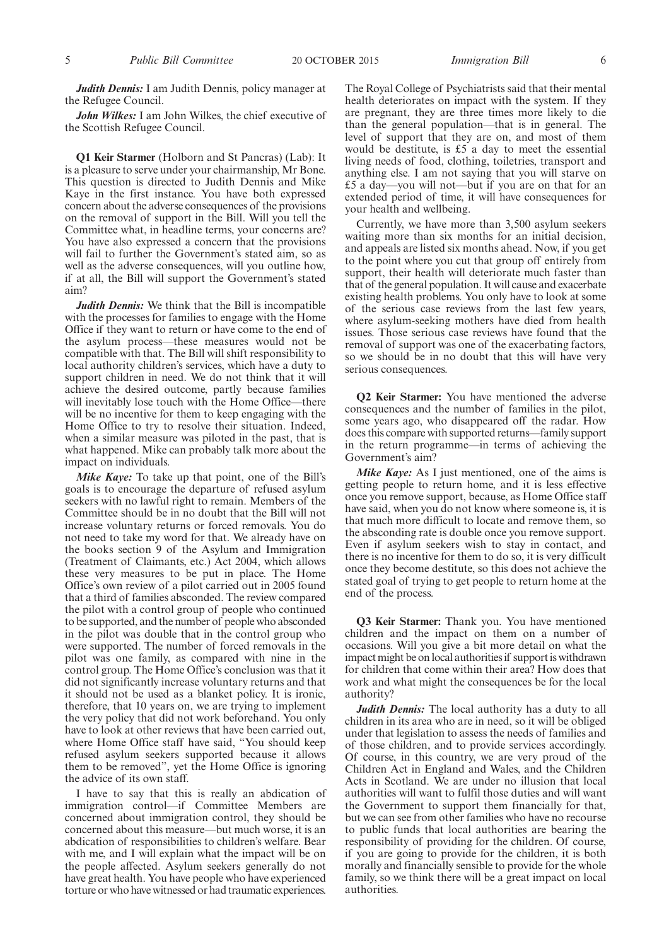*Judith Dennis:* I am Judith Dennis, policy manager at the Refugee Council.

*John Wilkes:* I am John Wilkes, the chief executive of the Scottish Refugee Council.

**Q1 Keir Starmer** (Holborn and St Pancras) (Lab): It is a pleasure to serve under your chairmanship, Mr Bone. This question is directed to Judith Dennis and Mike Kaye in the first instance. You have both expressed concern about the adverse consequences of the provisions on the removal of support in the Bill. Will you tell the Committee what, in headline terms, your concerns are? You have also expressed a concern that the provisions will fail to further the Government's stated aim, so as well as the adverse consequences, will you outline how, if at all, the Bill will support the Government's stated aim?

*Judith Dennis:* We think that the Bill is incompatible with the processes for families to engage with the Home Office if they want to return or have come to the end of the asylum process—these measures would not be compatible with that. The Bill will shift responsibility to local authority children's services, which have a duty to support children in need. We do not think that it will achieve the desired outcome, partly because families will inevitably lose touch with the Home Office—there will be no incentive for them to keep engaging with the Home Office to try to resolve their situation. Indeed, when a similar measure was piloted in the past, that is what happened. Mike can probably talk more about the impact on individuals.

*Mike Kaye:* To take up that point, one of the Bill's goals is to encourage the departure of refused asylum seekers with no lawful right to remain. Members of the Committee should be in no doubt that the Bill will not increase voluntary returns or forced removals. You do not need to take my word for that. We already have on the books section 9 of the Asylum and Immigration (Treatment of Claimants, etc.) Act 2004, which allows these very measures to be put in place. The Home Office's own review of a pilot carried out in 2005 found that a third of families absconded. The review compared the pilot with a control group of people who continued to be supported, and the number of people who absconded in the pilot was double that in the control group who were supported. The number of forced removals in the pilot was one family, as compared with nine in the control group. The Home Office's conclusion was that it did not significantly increase voluntary returns and that it should not be used as a blanket policy. It is ironic, therefore, that 10 years on, we are trying to implement the very policy that did not work beforehand. You only have to look at other reviews that have been carried out, where Home Office staff have said, "You should keep refused asylum seekers supported because it allows them to be removed", yet the Home Office is ignoring the advice of its own staff.

I have to say that this is really an abdication of immigration control—if Committee Members are concerned about immigration control, they should be concerned about this measure—but much worse, it is an abdication of responsibilities to children's welfare. Bear with me, and I will explain what the impact will be on the people affected. Asylum seekers generally do not have great health. You have people who have experienced torture or who have witnessed or had traumatic experiences.

The Royal College of Psychiatrists said that their mental health deteriorates on impact with the system. If they are pregnant, they are three times more likely to die than the general population—that is in general. The level of support that they are on, and most of them would be destitute, is £5 a day to meet the essential living needs of food, clothing, toiletries, transport and anything else. I am not saying that you will starve on £5 a day—you will not—but if you are on that for an extended period of time, it will have consequences for your health and wellbeing.

Currently, we have more than 3,500 asylum seekers waiting more than six months for an initial decision, and appeals are listed six months ahead. Now, if you get to the point where you cut that group off entirely from support, their health will deteriorate much faster than that of the general population. It will cause and exacerbate existing health problems. You only have to look at some of the serious case reviews from the last few years, where asylum-seeking mothers have died from health issues. Those serious case reviews have found that the removal of support was one of the exacerbating factors, so we should be in no doubt that this will have very serious consequences.

**Q2 Keir Starmer:** You have mentioned the adverse consequences and the number of families in the pilot, some years ago, who disappeared off the radar. How does this compare with supported returns—family support in the return programme—in terms of achieving the Government's aim?

*Mike Kaye:* As I just mentioned, one of the aims is getting people to return home, and it is less effective once you remove support, because, as Home Office staff have said, when you do not know where someone is, it is that much more difficult to locate and remove them, so the absconding rate is double once you remove support. Even if asylum seekers wish to stay in contact, and there is no incentive for them to do so, it is very difficult once they become destitute, so this does not achieve the stated goal of trying to get people to return home at the end of the process.

**Q3 Keir Starmer:** Thank you. You have mentioned children and the impact on them on a number of occasions. Will you give a bit more detail on what the impact might be on local authorities if support is withdrawn for children that come within their area? How does that work and what might the consequences be for the local authority?

*Judith Dennis:* The local authority has a duty to all children in its area who are in need, so it will be obliged under that legislation to assess the needs of families and of those children, and to provide services accordingly. Of course, in this country, we are very proud of the Children Act in England and Wales, and the Children Acts in Scotland. We are under no illusion that local authorities will want to fulfil those duties and will want the Government to support them financially for that, but we can see from other families who have no recourse to public funds that local authorities are bearing the responsibility of providing for the children. Of course, if you are going to provide for the children, it is both morally and financially sensible to provide for the whole family, so we think there will be a great impact on local authorities.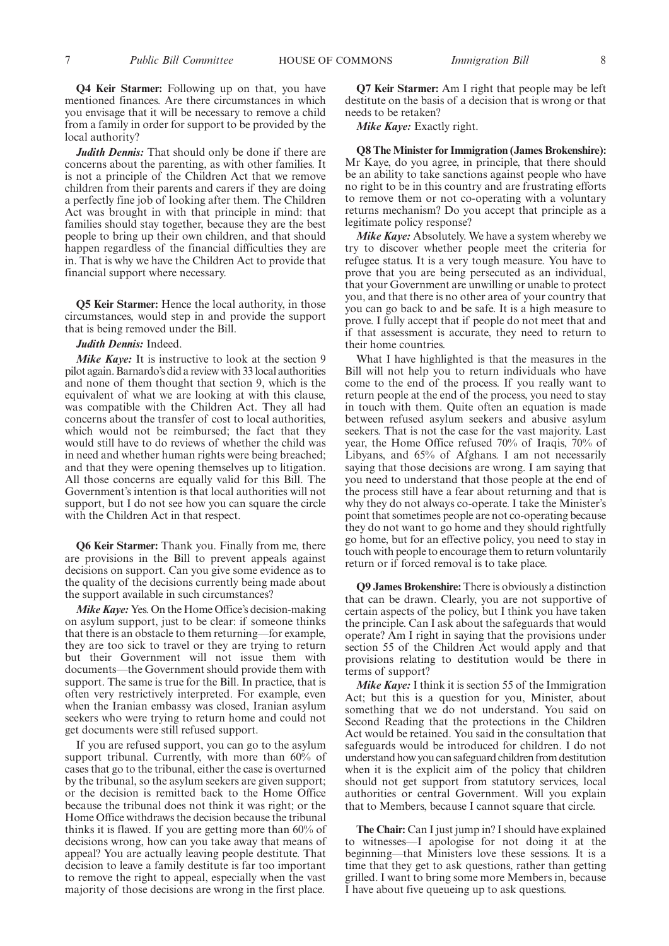**Q4 Keir Starmer:** Following up on that, you have mentioned finances. Are there circumstances in which you envisage that it will be necessary to remove a child from a family in order for support to be provided by the local authority?

*Judith Dennis:* That should only be done if there are concerns about the parenting, as with other families. It is not a principle of the Children Act that we remove children from their parents and carers if they are doing a perfectly fine job of looking after them. The Children Act was brought in with that principle in mind: that families should stay together, because they are the best people to bring up their own children, and that should happen regardless of the financial difficulties they are in. That is why we have the Children Act to provide that financial support where necessary.

**Q5 Keir Starmer:** Hence the local authority, in those circumstances, would step in and provide the support that is being removed under the Bill.

*Judith Dennis:* Indeed.

*Mike Kaye:* It is instructive to look at the section 9 pilot again. Barnardo's did a review with 33 local authorities and none of them thought that section 9, which is the equivalent of what we are looking at with this clause, was compatible with the Children Act. They all had concerns about the transfer of cost to local authorities, which would not be reimbursed; the fact that they would still have to do reviews of whether the child was in need and whether human rights were being breached; and that they were opening themselves up to litigation. All those concerns are equally valid for this Bill. The Government's intention is that local authorities will not support, but I do not see how you can square the circle with the Children Act in that respect.

**Q6 Keir Starmer:** Thank you. Finally from me, there are provisions in the Bill to prevent appeals against decisions on support. Can you give some evidence as to the quality of the decisions currently being made about the support available in such circumstances?

*Mike Kaye:* Yes. On the Home Office's decision-making on asylum support, just to be clear: if someone thinks that there is an obstacle to them returning—for example, they are too sick to travel or they are trying to return but their Government will not issue them with documents—the Government should provide them with support. The same is true for the Bill. In practice, that is often very restrictively interpreted. For example, even when the Iranian embassy was closed, Iranian asylum seekers who were trying to return home and could not get documents were still refused support.

If you are refused support, you can go to the asylum support tribunal. Currently, with more than 60% of cases that go to the tribunal, either the case is overturned by the tribunal, so the asylum seekers are given support; or the decision is remitted back to the Home Office because the tribunal does not think it was right; or the Home Office withdraws the decision because the tribunal thinks it is flawed. If you are getting more than 60% of decisions wrong, how can you take away that means of appeal? You are actually leaving people destitute. That decision to leave a family destitute is far too important to remove the right to appeal, especially when the vast majority of those decisions are wrong in the first place.

**Q7 Keir Starmer:** Am I right that people may be left destitute on the basis of a decision that is wrong or that needs to be retaken?

*Mike Kaye:* Exactly right.

**Q8 The Minister for Immigration (James Brokenshire):** Mr Kaye, do you agree, in principle, that there should be an ability to take sanctions against people who have no right to be in this country and are frustrating efforts to remove them or not co-operating with a voluntary returns mechanism? Do you accept that principle as a legitimate policy response?

*Mike Kaye:* Absolutely. We have a system whereby we try to discover whether people meet the criteria for refugee status. It is a very tough measure. You have to prove that you are being persecuted as an individual, that your Government are unwilling or unable to protect you, and that there is no other area of your country that you can go back to and be safe. It is a high measure to prove. I fully accept that if people do not meet that and if that assessment is accurate, they need to return to their home countries.

What I have highlighted is that the measures in the Bill will not help you to return individuals who have come to the end of the process. If you really want to return people at the end of the process, you need to stay in touch with them. Quite often an equation is made between refused asylum seekers and abusive asylum seekers. That is not the case for the vast majority. Last year, the Home Office refused 70% of Iraqis, 70% of Libyans, and 65% of Afghans. I am not necessarily saying that those decisions are wrong. I am saying that you need to understand that those people at the end of the process still have a fear about returning and that is why they do not always co-operate. I take the Minister's point that sometimes people are not co-operating because they do not want to go home and they should rightfully go home, but for an effective policy, you need to stay in touch with people to encourage them to return voluntarily return or if forced removal is to take place.

**Q9 James Brokenshire:** There is obviously a distinction that can be drawn. Clearly, you are not supportive of certain aspects of the policy, but I think you have taken the principle. Can I ask about the safeguards that would operate? Am I right in saying that the provisions under section 55 of the Children Act would apply and that provisions relating to destitution would be there in terms of support?

*Mike Kaye:* I think it is section 55 of the Immigration Act; but this is a question for you, Minister, about something that we do not understand. You said on Second Reading that the protections in the Children Act would be retained. You said in the consultation that safeguards would be introduced for children. I do not understand how you can safeguard children from destitution when it is the explicit aim of the policy that children should not get support from statutory services, local authorities or central Government. Will you explain that to Members, because I cannot square that circle.

**The Chair:** Can I just jump in? I should have explained to witnesses—I apologise for not doing it at the beginning—that Ministers love these sessions. It is a time that they get to ask questions, rather than getting grilled. I want to bring some more Members in, because I have about five queueing up to ask questions.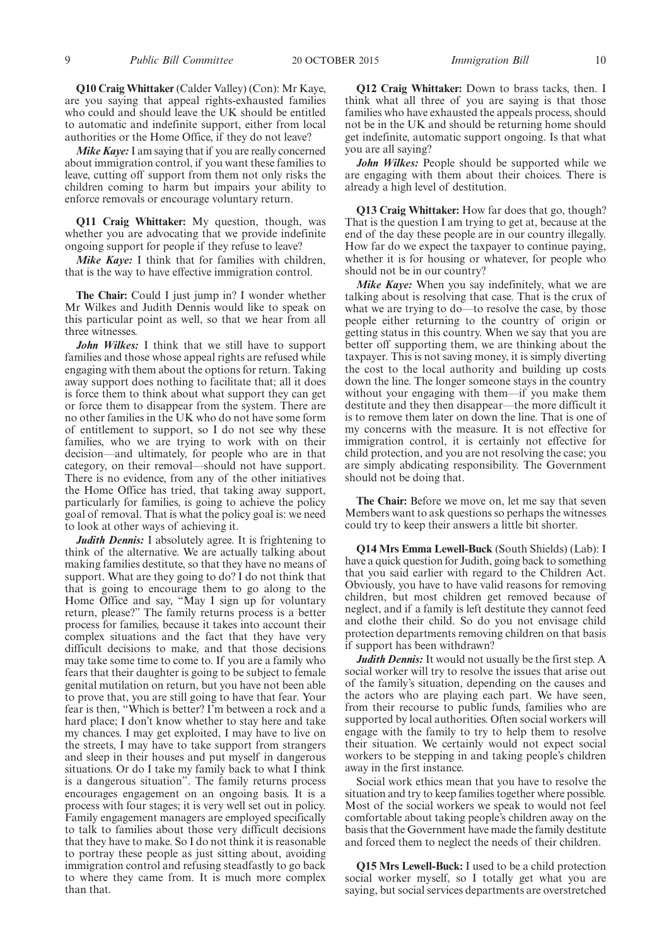**Q10 Craig Whittaker**(Calder Valley) (Con): Mr Kaye, are you saying that appeal rights-exhausted families who could and should leave the UK should be entitled to automatic and indefinite support, either from local authorities or the Home Office, if they do not leave?

*Mike Kaye:* I am saying that if you are really concerned about immigration control, if you want these families to leave, cutting off support from them not only risks the children coming to harm but impairs your ability to enforce removals or encourage voluntary return.

**Q11 Craig Whittaker:** My question, though, was whether you are advocating that we provide indefinite ongoing support for people if they refuse to leave?

*Mike Kaye:* I think that for families with children, that is the way to have effective immigration control.

**The Chair:** Could I just jump in? I wonder whether Mr Wilkes and Judith Dennis would like to speak on this particular point as well, so that we hear from all three witnesses.

*John Wilkes:* I think that we still have to support families and those whose appeal rights are refused while engaging with them about the options for return. Taking away support does nothing to facilitate that; all it does is force them to think about what support they can get or force them to disappear from the system. There are no other families in the UK who do not have some form of entitlement to support, so I do not see why these families, who we are trying to work with on their decision—and ultimately, for people who are in that category, on their removal—should not have support. There is no evidence, from any of the other initiatives the Home Office has tried, that taking away support, particularly for families, is going to achieve the policy goal of removal. That is what the policy goal is: we need to look at other ways of achieving it.

*Judith Dennis:* I absolutely agree. It is frightening to think of the alternative. We are actually talking about making families destitute, so that they have no means of support. What are they going to do? I do not think that that is going to encourage them to go along to the Home Office and say, "May I sign up for voluntary return, please?" The family returns process is a better process for families, because it takes into account their complex situations and the fact that they have very difficult decisions to make, and that those decisions may take some time to come to. If you are a family who fears that their daughter is going to be subject to female genital mutilation on return, but you have not been able to prove that, you are still going to have that fear. Your fear is then, "Which is better? I'm between a rock and a hard place; I don't know whether to stay here and take my chances. I may get exploited, I may have to live on the streets, I may have to take support from strangers and sleep in their houses and put myself in dangerous situations. Or do I take my family back to what I think is a dangerous situation". The family returns process encourages engagement on an ongoing basis. It is a process with four stages; it is very well set out in policy. Family engagement managers are employed specifically to talk to families about those very difficult decisions that they have to make. So I do not think it is reasonable to portray these people as just sitting about, avoiding immigration control and refusing steadfastly to go back to where they came from. It is much more complex than that.

**Q12 Craig Whittaker:** Down to brass tacks, then. I think what all three of you are saying is that those families who have exhausted the appeals process, should not be in the UK and should be returning home should get indefinite, automatic support ongoing. Is that what you are all saying?

*John Wilkes:* People should be supported while we are engaging with them about their choices. There is already a high level of destitution.

**Q13 Craig Whittaker:** How far does that go, though? That is the question I am trying to get at, because at the end of the day these people are in our country illegally. How far do we expect the taxpayer to continue paying, whether it is for housing or whatever, for people who should not be in our country?

*Mike Kaye:* When you say indefinitely, what we are talking about is resolving that case. That is the crux of what we are trying to do—to resolve the case, by those people either returning to the country of origin or getting status in this country. When we say that you are better off supporting them, we are thinking about the taxpayer. This is not saving money, it is simply diverting the cost to the local authority and building up costs down the line. The longer someone stays in the country without your engaging with them—if you make them destitute and they then disappear—the more difficult it is to remove them later on down the line. That is one of my concerns with the measure. It is not effective for immigration control, it is certainly not effective for child protection, and you are not resolving the case; you are simply abdicating responsibility. The Government should not be doing that.

**The Chair:** Before we move on, let me say that seven Members want to ask questions so perhaps the witnesses could try to keep their answers a little bit shorter.

**Q14 Mrs Emma Lewell-Buck** (South Shields) (Lab): I have a quick question for Judith, going back to something that you said earlier with regard to the Children Act. Obviously, you have to have valid reasons for removing children, but most children get removed because of neglect, and if a family is left destitute they cannot feed and clothe their child. So do you not envisage child protection departments removing children on that basis if support has been withdrawn?

*Judith Dennis:* It would not usually be the first step. A social worker will try to resolve the issues that arise out of the family's situation, depending on the causes and the actors who are playing each part. We have seen, from their recourse to public funds, families who are supported by local authorities. Often social workers will engage with the family to try to help them to resolve their situation. We certainly would not expect social workers to be stepping in and taking people's children away in the first instance.

Social work ethics mean that you have to resolve the situation and try to keep families together where possible. Most of the social workers we speak to would not feel comfortable about taking people's children away on the basis that the Government have made the family destitute and forced them to neglect the needs of their children.

**Q15 Mrs Lewell-Buck:** I used to be a child protection social worker myself, so I totally get what you are saying, but social services departments are overstretched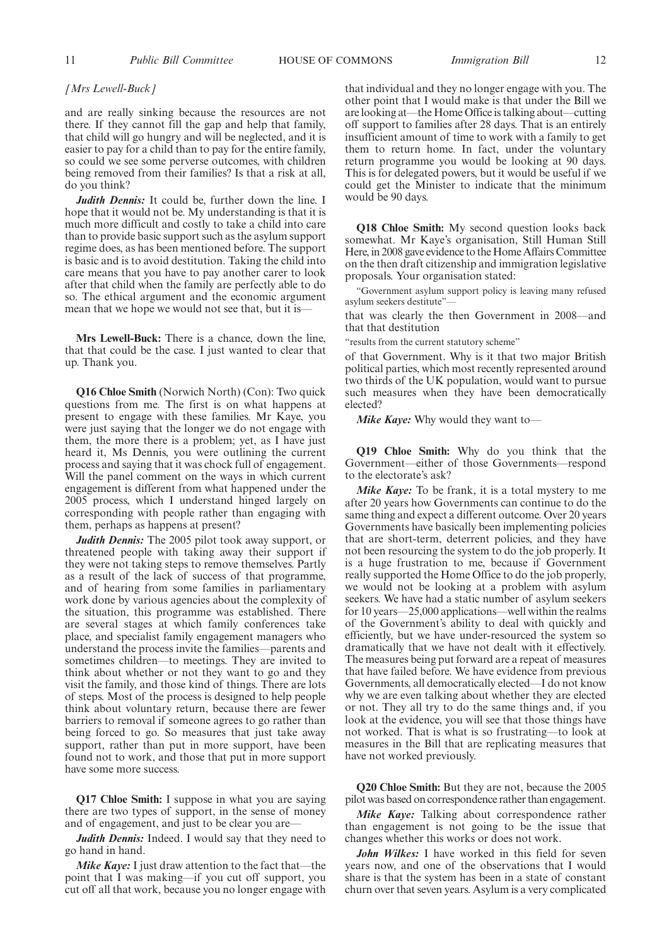#### *[Mrs Lewell-Buck]*

and are really sinking because the resources are not there. If they cannot fill the gap and help that family, that child will go hungry and will be neglected, and it is easier to pay for a child than to pay for the entire family, so could we see some perverse outcomes, with children being removed from their families? Is that a risk at all, do you think?

*Judith Dennis:* It could be, further down the line. I hope that it would not be. My understanding is that it is much more difficult and costly to take a child into care than to provide basic support such as the asylum support regime does, as has been mentioned before. The support is basic and is to avoid destitution. Taking the child into care means that you have to pay another carer to look after that child when the family are perfectly able to do so. The ethical argument and the economic argument mean that we hope we would not see that, but it is—

**Mrs Lewell-Buck:** There is a chance, down the line, that that could be the case. I just wanted to clear that up. Thank you.

**Q16 Chloe Smith** (Norwich North) (Con): Two quick questions from me. The first is on what happens at present to engage with these families. Mr Kaye, you were just saying that the longer we do not engage with them, the more there is a problem; yet, as I have just heard it, Ms Dennis, you were outlining the current process and saying that it was chock full of engagement. Will the panel comment on the ways in which current engagement is different from what happened under the 2005 process, which I understand hinged largely on corresponding with people rather than engaging with them, perhaps as happens at present?

*Judith Dennis:* The 2005 pilot took away support, or threatened people with taking away their support if they were not taking steps to remove themselves. Partly as a result of the lack of success of that programme, and of hearing from some families in parliamentary work done by various agencies about the complexity of the situation, this programme was established. There are several stages at which family conferences take place, and specialist family engagement managers who understand the process invite the families—parents and sometimes children—to meetings. They are invited to think about whether or not they want to go and they visit the family, and those kind of things. There are lots of steps. Most of the process is designed to help people think about voluntary return, because there are fewer barriers to removal if someone agrees to go rather than being forced to go. So measures that just take away support, rather than put in more support, have been found not to work, and those that put in more support have some more success.

**Q17 Chloe Smith:** I suppose in what you are saying there are two types of support, in the sense of money and of engagement, and just to be clear you are—

*Judith Dennis:* Indeed. I would say that they need to go hand in hand.

*Mike Kaye:* I just draw attention to the fact that—the point that I was making—if you cut off support, you cut off all that work, because you no longer engage with

that individual and they no longer engage with you. The other point that I would make is that under the Bill we are looking at—the Home Office is talking about—cutting off support to families after 28 days. That is an entirely insufficient amount of time to work with a family to get them to return home. In fact, under the voluntary return programme you would be looking at 90 days. This is for delegated powers, but it would be useful if we could get the Minister to indicate that the minimum would be 90 days.

**Q18 Chloe Smith:** My second question looks back somewhat. Mr Kaye's organisation, Still Human Still Here, in 2008 gave evidence to the Home Affairs Committee on the then draft citizenship and immigration legislative proposals. Your organisation stated:

"Government asylum support policy is leaving many refused asylum seekers destitute"—

that was clearly the then Government in 2008—and that that destitution

"results from the current statutory scheme"

of that Government. Why is it that two major British political parties, which most recently represented around two thirds of the UK population, would want to pursue such measures when they have been democratically elected?

*Mike Kaye:* Why would they want to—

**Q19 Chloe Smith:** Why do you think that the Government—either of those Governments—respond to the electorate's ask?

*Mike Kaye:* To be frank, it is a total mystery to me after 20 years how Governments can continue to do the same thing and expect a different outcome. Over 20 years Governments have basically been implementing policies that are short-term, deterrent policies, and they have not been resourcing the system to do the job properly. It is a huge frustration to me, because if Government really supported the Home Office to do the job properly, we would not be looking at a problem with asylum seekers. We have had a static number of asylum seekers for 10 years—25,000 applications—well within the realms of the Government's ability to deal with quickly and efficiently, but we have under-resourced the system so dramatically that we have not dealt with it effectively. The measures being put forward are a repeat of measures that have failed before. We have evidence from previous Governments, all democratically elected—I do not know why we are even talking about whether they are elected or not. They all try to do the same things and, if you look at the evidence, you will see that those things have not worked. That is what is so frustrating—to look at measures in the Bill that are replicating measures that have not worked previously.

**Q20 Chloe Smith:** But they are not, because the 2005 pilot was based on correspondence rather than engagement.

*Mike Kaye:* Talking about correspondence rather than engagement is not going to be the issue that changes whether this works or does not work.

*John Wilkes:* I have worked in this field for seven years now, and one of the observations that I would share is that the system has been in a state of constant churn over that seven years. Asylum is a very complicated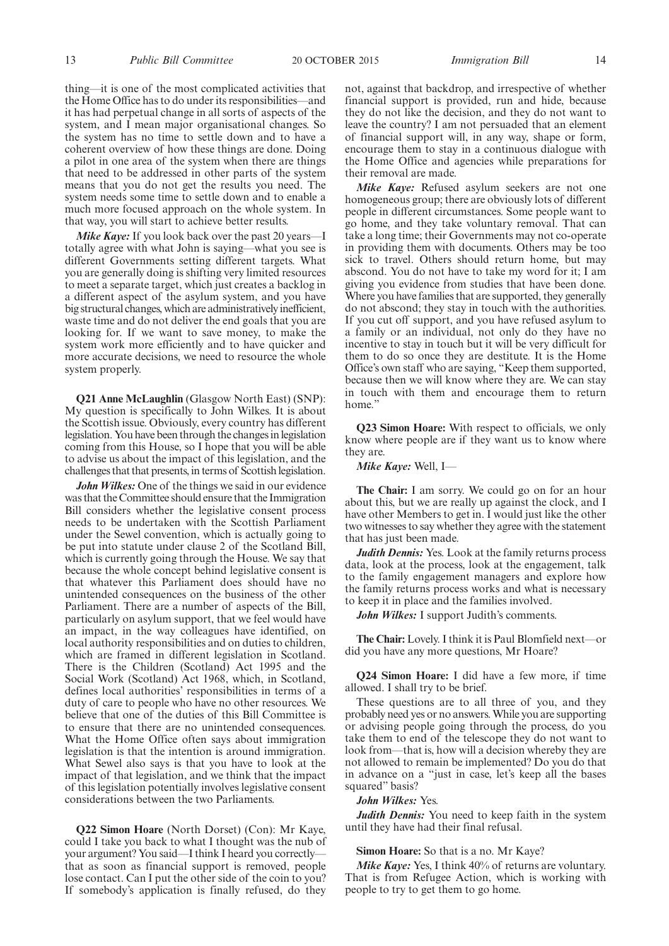thing—it is one of the most complicated activities that the Home Office has to do under its responsibilities—and it has had perpetual change in all sorts of aspects of the system, and I mean major organisational changes. So the system has no time to settle down and to have a coherent overview of how these things are done. Doing a pilot in one area of the system when there are things that need to be addressed in other parts of the system means that you do not get the results you need. The system needs some time to settle down and to enable a much more focused approach on the whole system. In that way, you will start to achieve better results.

*Mike Kaye:* If you look back over the past 20 years—I totally agree with what John is saying—what you see is different Governments setting different targets. What you are generally doing is shifting very limited resources to meet a separate target, which just creates a backlog in a different aspect of the asylum system, and you have big structural changes, which are administratively inefficient, waste time and do not deliver the end goals that you are looking for. If we want to save money, to make the system work more efficiently and to have quicker and more accurate decisions, we need to resource the whole system properly.

**Q21 Anne McLaughlin** (Glasgow North East) (SNP): My question is specifically to John Wilkes. It is about the Scottish issue. Obviously, every country has different legislation. You have been through the changes in legislation coming from this House, so I hope that you will be able to advise us about the impact of this legislation, and the challenges that that presents, in terms of Scottish legislation.

*John Wilkes:* One of the things we said in our evidence was that the Committee should ensure that the Immigration Bill considers whether the legislative consent process needs to be undertaken with the Scottish Parliament under the Sewel convention, which is actually going to be put into statute under clause 2 of the Scotland Bill, which is currently going through the House. We say that because the whole concept behind legislative consent is that whatever this Parliament does should have no unintended consequences on the business of the other Parliament. There are a number of aspects of the Bill, particularly on asylum support, that we feel would have an impact, in the way colleagues have identified, on local authority responsibilities and on duties to children, which are framed in different legislation in Scotland. There is the Children (Scotland) Act 1995 and the Social Work (Scotland) Act 1968, which, in Scotland, defines local authorities' responsibilities in terms of a duty of care to people who have no other resources. We believe that one of the duties of this Bill Committee is to ensure that there are no unintended consequences. What the Home Office often says about immigration legislation is that the intention is around immigration. What Sewel also says is that you have to look at the impact of that legislation, and we think that the impact of this legislation potentially involves legislative consent considerations between the two Parliaments.

**Q22 Simon Hoare** (North Dorset) (Con): Mr Kaye, could I take you back to what I thought was the nub of your argument? You said—I think I heard you correctly that as soon as financial support is removed, people lose contact. Can I put the other side of the coin to you? If somebody's application is finally refused, do they not, against that backdrop, and irrespective of whether financial support is provided, run and hide, because they do not like the decision, and they do not want to leave the country? I am not persuaded that an element of financial support will, in any way, shape or form, encourage them to stay in a continuous dialogue with the Home Office and agencies while preparations for their removal are made.

*Mike Kaye:* Refused asylum seekers are not one homogeneous group; there are obviously lots of different people in different circumstances. Some people want to go home, and they take voluntary removal. That can take a long time; their Governments may not co-operate in providing them with documents. Others may be too sick to travel. Others should return home, but may abscond. You do not have to take my word for it; I am giving you evidence from studies that have been done. Where you have families that are supported, they generally do not abscond; they stay in touch with the authorities. If you cut off support, and you have refused asylum to a family or an individual, not only do they have no incentive to stay in touch but it will be very difficult for them to do so once they are destitute. It is the Home Office's own staff who are saying, "Keep them supported, because then we will know where they are. We can stay in touch with them and encourage them to return home."

**Q23 Simon Hoare:** With respect to officials, we only know where people are if they want us to know where they are.

*Mike Kaye:* Well, I—

**The Chair:** I am sorry. We could go on for an hour about this, but we are really up against the clock, and I have other Members to get in. I would just like the other two witnesses to say whether they agree with the statement that has just been made.

*Judith Dennis:* Yes. Look at the family returns process data, look at the process, look at the engagement, talk to the family engagement managers and explore how the family returns process works and what is necessary to keep it in place and the families involved.

*John Wilkes:* I support Judith's comments.

**The Chair:** Lovely. I think it is Paul Blomfield next—or did you have any more questions, Mr Hoare?

**Q24 Simon Hoare:** I did have a few more, if time allowed. I shall try to be brief.

These questions are to all three of you, and they probably need yes or no answers.While you are supporting or advising people going through the process, do you take them to end of the telescope they do not want to look from—that is, how will a decision whereby they are not allowed to remain be implemented? Do you do that in advance on a "just in case, let's keep all the bases squared" basis?

#### *John Wilkes:* Yes.

*Judith Dennis:* You need to keep faith in the system until they have had their final refusal.

#### **Simon Hoare:** So that is a no. Mr Kaye?

*Mike Kaye:* Yes, I think 40% of returns are voluntary. That is from Refugee Action, which is working with people to try to get them to go home.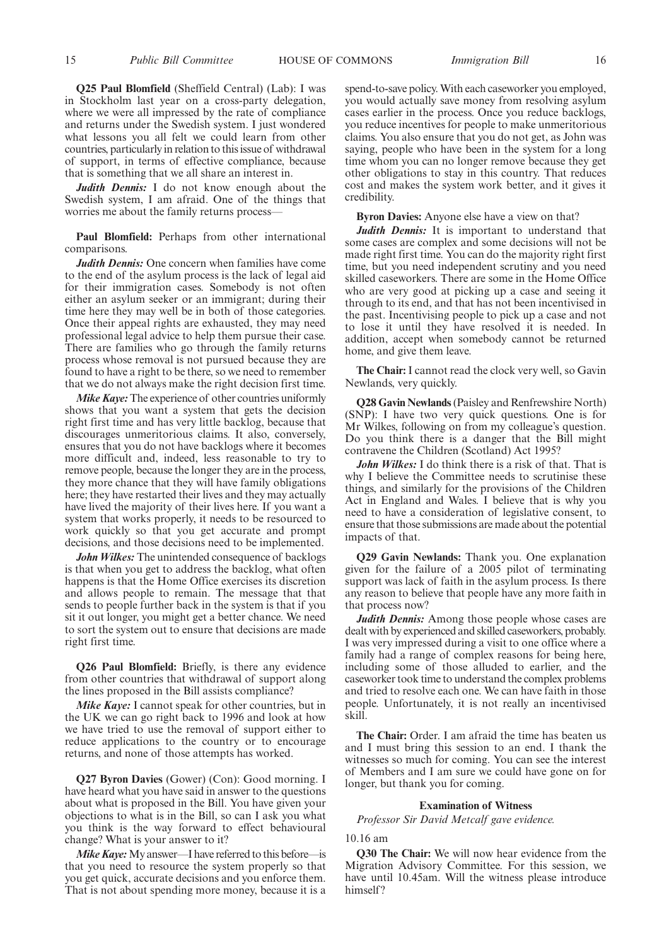**Q25 Paul Blomfield** (Sheffield Central) (Lab): I was in Stockholm last year on a cross-party delegation, where we were all impressed by the rate of compliance and returns under the Swedish system. I just wondered what lessons you all felt we could learn from other countries, particularly in relation to this issue of withdrawal of support, in terms of effective compliance, because that is something that we all share an interest in.

*Judith Dennis:* I do not know enough about the Swedish system, I am afraid. One of the things that worries me about the family returns process—

**Paul Blomfield:** Perhaps from other international comparisons.

*Judith Dennis:* One concern when families have come to the end of the asylum process is the lack of legal aid for their immigration cases. Somebody is not often either an asylum seeker or an immigrant; during their time here they may well be in both of those categories. Once their appeal rights are exhausted, they may need professional legal advice to help them pursue their case. There are families who go through the family returns process whose removal is not pursued because they are found to have a right to be there, so we need to remember that we do not always make the right decision first time.

*Mike Kaye:*The experience of other countries uniformly shows that you want a system that gets the decision right first time and has very little backlog, because that discourages unmeritorious claims. It also, conversely, ensures that you do not have backlogs where it becomes more difficult and, indeed, less reasonable to try to remove people, because the longer they are in the process, they more chance that they will have family obligations here; they have restarted their lives and they may actually have lived the majority of their lives here. If you want a system that works properly, it needs to be resourced to work quickly so that you get accurate and prompt decisions, and those decisions need to be implemented.

*John Wilkes:* The unintended consequence of backlogs is that when you get to address the backlog, what often happens is that the Home Office exercises its discretion and allows people to remain. The message that that sends to people further back in the system is that if you sit it out longer, you might get a better chance. We need to sort the system out to ensure that decisions are made right first time.

**Q26 Paul Blomfield:** Briefly, is there any evidence from other countries that withdrawal of support along the lines proposed in the Bill assists compliance?

*Mike Kaye:* I cannot speak for other countries, but in the UK we can go right back to 1996 and look at how we have tried to use the removal of support either to reduce applications to the country or to encourage returns, and none of those attempts has worked.

**Q27 Byron Davies** (Gower) (Con): Good morning. I have heard what you have said in answer to the questions about what is proposed in the Bill. You have given your objections to what is in the Bill, so can I ask you what you think is the way forward to effect behavioural change? What is your answer to it?

*Mike Kaye:* My answer—I have referred to this before—is that you need to resource the system properly so that you get quick, accurate decisions and you enforce them. That is not about spending more money, because it is a

spend-to-save policy.With each caseworker you employed, you would actually save money from resolving asylum cases earlier in the process. Once you reduce backlogs, you reduce incentives for people to make unmeritorious claims. You also ensure that you do not get, as John was saying, people who have been in the system for a long time whom you can no longer remove because they get other obligations to stay in this country. That reduces cost and makes the system work better, and it gives it credibility.

**Byron Davies:** Anyone else have a view on that?

*Judith Dennis:* It is important to understand that some cases are complex and some decisions will not be made right first time. You can do the majority right first time, but you need independent scrutiny and you need skilled caseworkers. There are some in the Home Office who are very good at picking up a case and seeing it through to its end, and that has not been incentivised in the past. Incentivising people to pick up a case and not to lose it until they have resolved it is needed. In addition, accept when somebody cannot be returned home, and give them leave.

**The Chair:** I cannot read the clock very well, so Gavin Newlands, very quickly.

**Q28 Gavin Newlands**(Paisley and Renfrewshire North) (SNP): I have two very quick questions. One is for Mr Wilkes, following on from my colleague's question. Do you think there is a danger that the Bill might contravene the Children (Scotland) Act 1995?

*John Wilkes:* I do think there is a risk of that. That is why I believe the Committee needs to scrutinise these things, and similarly for the provisions of the Children Act in England and Wales. I believe that is why you need to have a consideration of legislative consent, to ensure that those submissions are made about the potential impacts of that.

**Q29 Gavin Newlands:** Thank you. One explanation given for the failure of a 2005 pilot of terminating support was lack of faith in the asylum process. Is there any reason to believe that people have any more faith in that process now?

*Judith Dennis:* Among those people whose cases are dealt with by experienced and skilled caseworkers, probably. I was very impressed during a visit to one office where a family had a range of complex reasons for being here, including some of those alluded to earlier, and the caseworker took time to understand the complex problems and tried to resolve each one. We can have faith in those people. Unfortunately, it is not really an incentivised skill.

**The Chair:** Order. I am afraid the time has beaten us and I must bring this session to an end. I thank the witnesses so much for coming. You can see the interest of Members and I am sure we could have gone on for longer, but thank you for coming.

#### **Examination of Witness**

*Professor Sir David Metcalf gave evidence.*

#### 10.16 am

**Q30 The Chair:** We will now hear evidence from the Migration Advisory Committee. For this session, we have until 10.45am. Will the witness please introduce himself?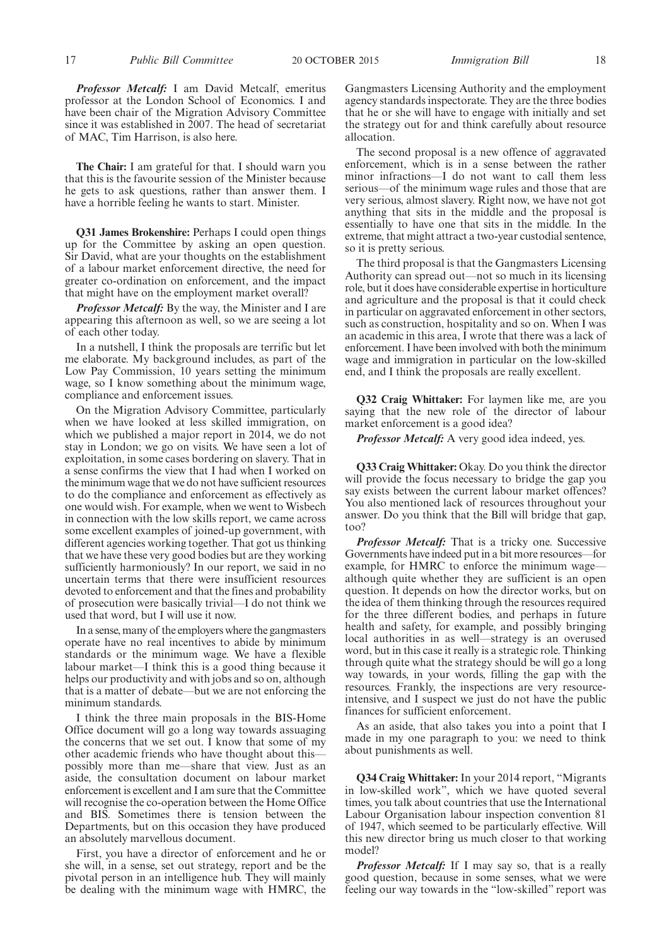*Professor Metcalf:* I am David Metcalf, emeritus professor at the London School of Economics. I and have been chair of the Migration Advisory Committee since it was established in 2007. The head of secretariat of MAC, Tim Harrison, is also here.

**The Chair:** I am grateful for that. I should warn you that this is the favourite session of the Minister because he gets to ask questions, rather than answer them. I have a horrible feeling he wants to start. Minister.

**Q31 James Brokenshire:** Perhaps I could open things up for the Committee by asking an open question. Sir David, what are your thoughts on the establishment of a labour market enforcement directive, the need for greater co-ordination on enforcement, and the impact that might have on the employment market overall?

*Professor Metcalf:* By the way, the Minister and I are appearing this afternoon as well, so we are seeing a lot of each other today.

In a nutshell, I think the proposals are terrific but let me elaborate. My background includes, as part of the Low Pay Commission, 10 years setting the minimum wage, so I know something about the minimum wage, compliance and enforcement issues.

On the Migration Advisory Committee, particularly when we have looked at less skilled immigration, on which we published a major report in 2014, we do not stay in London; we go on visits. We have seen a lot of exploitation, in some cases bordering on slavery. That in a sense confirms the view that I had when I worked on the minimum wage that we do not have sufficient resources to do the compliance and enforcement as effectively as one would wish. For example, when we went to Wisbech in connection with the low skills report, we came across some excellent examples of joined-up government, with different agencies working together. That got us thinking that we have these very good bodies but are they working sufficiently harmoniously? In our report, we said in no uncertain terms that there were insufficient resources devoted to enforcement and that the fines and probability of prosecution were basically trivial—I do not think we used that word, but I will use it now.

In a sense, many of the employers where the gangmasters operate have no real incentives to abide by minimum standards or the minimum wage. We have a flexible labour market—I think this is a good thing because it helps our productivity and with jobs and so on, although that is a matter of debate—but we are not enforcing the minimum standards.

I think the three main proposals in the BIS-Home Office document will go a long way towards assuaging the concerns that we set out. I know that some of my other academic friends who have thought about this possibly more than me—share that view. Just as an aside, the consultation document on labour market enforcement is excellent and I am sure that the Committee will recognise the co-operation between the Home Office and BIS. Sometimes there is tension between the Departments, but on this occasion they have produced an absolutely marvellous document.

First, you have a director of enforcement and he or she will, in a sense, set out strategy, report and be the pivotal person in an intelligence hub. They will mainly be dealing with the minimum wage with HMRC, the Gangmasters Licensing Authority and the employment agency standards inspectorate. They are the three bodies that he or she will have to engage with initially and set the strategy out for and think carefully about resource allocation.

The second proposal is a new offence of aggravated enforcement, which is in a sense between the rather minor infractions—I do not want to call them less serious—of the minimum wage rules and those that are very serious, almost slavery. Right now, we have not got anything that sits in the middle and the proposal is essentially to have one that sits in the middle. In the extreme, that might attract a two-year custodial sentence, so it is pretty serious.

The third proposal is that the Gangmasters Licensing Authority can spread out—not so much in its licensing role, but it does have considerable expertise in horticulture and agriculture and the proposal is that it could check in particular on aggravated enforcement in other sectors, such as construction, hospitality and so on. When I was an academic in this area, I wrote that there was a lack of enforcement. I have been involved with both the minimum wage and immigration in particular on the low-skilled end, and I think the proposals are really excellent.

**Q32 Craig Whittaker:** For laymen like me, are you saying that the new role of the director of labour market enforcement is a good idea?

*Professor Metcalf:* A very good idea indeed, yes.

**Q33 Craig Whittaker:** Okay. Do you think the director will provide the focus necessary to bridge the gap you say exists between the current labour market offences? You also mentioned lack of resources throughout your answer. Do you think that the Bill will bridge that gap, too?

*Professor Metcalf:* That is a tricky one. Successive Governments have indeed put in a bit more resources—for example, for HMRC to enforce the minimum wage although quite whether they are sufficient is an open question. It depends on how the director works, but on the idea of them thinking through the resources required for the three different bodies, and perhaps in future health and safety, for example, and possibly bringing local authorities in as well—strategy is an overused word, but in this case it really is a strategic role. Thinking through quite what the strategy should be will go a long way towards, in your words, filling the gap with the resources. Frankly, the inspections are very resourceintensive, and I suspect we just do not have the public finances for sufficient enforcement.

As an aside, that also takes you into a point that I made in my one paragraph to you: we need to think about punishments as well.

**Q34 Craig Whittaker:** In your 2014 report, "Migrants in low-skilled work", which we have quoted several times, you talk about countries that use the International Labour Organisation labour inspection convention 81 of 1947, which seemed to be particularly effective. Will this new director bring us much closer to that working model?

*Professor Metcalf:* If I may say so, that is a really good question, because in some senses, what we were feeling our way towards in the "low-skilled" report was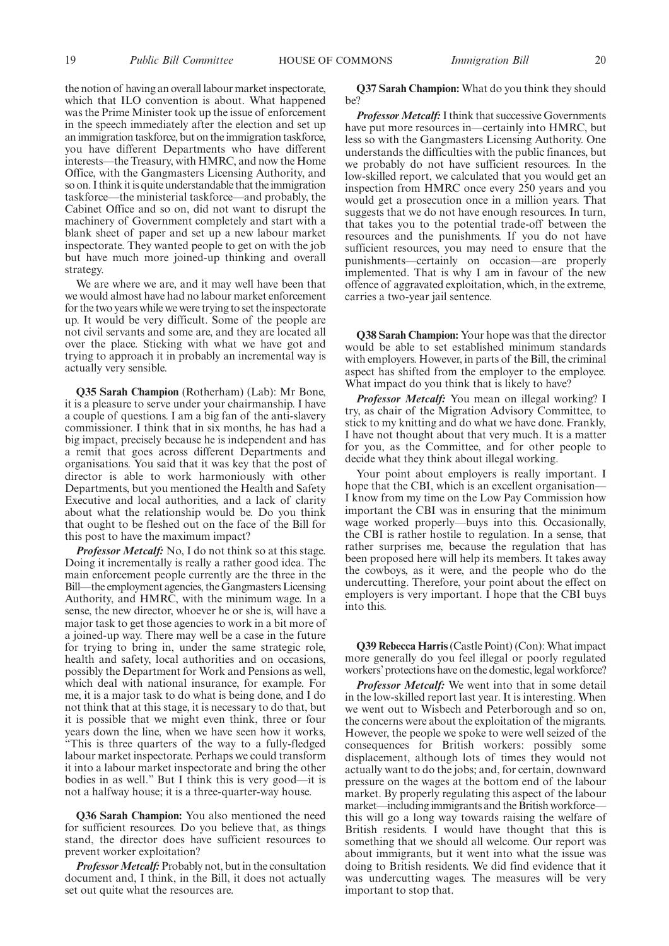the notion of having an overall labour market inspectorate, which that ILO convention is about. What happened was the Prime Minister took up the issue of enforcement in the speech immediately after the election and set up an immigration taskforce, but on the immigration taskforce, you have different Departments who have different interests—the Treasury, with HMRC, and now the Home Office, with the Gangmasters Licensing Authority, and so on. I think it is quite understandable that the immigration taskforce—the ministerial taskforce—and probably, the Cabinet Office and so on, did not want to disrupt the machinery of Government completely and start with a blank sheet of paper and set up a new labour market inspectorate. They wanted people to get on with the job but have much more joined-up thinking and overall strategy.

We are where we are, and it may well have been that we would almost have had no labour market enforcement for the two years while we were trying to set the inspectorate up. It would be very difficult. Some of the people are not civil servants and some are, and they are located all over the place. Sticking with what we have got and trying to approach it in probably an incremental way is actually very sensible.

**Q35 Sarah Champion** (Rotherham) (Lab): Mr Bone, it is a pleasure to serve under your chairmanship. I have a couple of questions. I am a big fan of the anti-slavery commissioner. I think that in six months, he has had a big impact, precisely because he is independent and has a remit that goes across different Departments and organisations. You said that it was key that the post of director is able to work harmoniously with other Departments, but you mentioned the Health and Safety Executive and local authorities, and a lack of clarity about what the relationship would be. Do you think that ought to be fleshed out on the face of the Bill for this post to have the maximum impact?

*Professor Metcalf:* No. I do not think so at this stage. Doing it incrementally is really a rather good idea. The main enforcement people currently are the three in the Bill—the employment agencies, the Gangmasters Licensing Authority, and HMRC, with the minimum wage. In a sense, the new director, whoever he or she is, will have a major task to get those agencies to work in a bit more of a joined-up way. There may well be a case in the future for trying to bring in, under the same strategic role, health and safety, local authorities and on occasions, possibly the Department for Work and Pensions as well, which deal with national insurance, for example. For me, it is a major task to do what is being done, and I do not think that at this stage, it is necessary to do that, but it is possible that we might even think, three or four years down the line, when we have seen how it works, "This is three quarters of the way to a fully-fledged labour market inspectorate. Perhaps we could transform it into a labour market inspectorate and bring the other bodies in as well." But I think this is very good—it is not a halfway house; it is a three-quarter-way house.

**Q36 Sarah Champion:** You also mentioned the need for sufficient resources. Do you believe that, as things stand, the director does have sufficient resources to prevent worker exploitation?

*Professor Metcalf:* Probably not, but in the consultation document and, I think, in the Bill, it does not actually set out quite what the resources are.

**Q37 Sarah Champion:** What do you think they should be?

*Professor Metcalf:*I think that successive Governments have put more resources in—certainly into HMRC, but less so with the Gangmasters Licensing Authority. One understands the difficulties with the public finances, but we probably do not have sufficient resources. In the low-skilled report, we calculated that you would get an inspection from HMRC once every 250 years and you would get a prosecution once in a million years. That suggests that we do not have enough resources. In turn, that takes you to the potential trade-off between the resources and the punishments. If you do not have sufficient resources, you may need to ensure that the punishments—certainly on occasion—are properly implemented. That is why I am in favour of the new offence of aggravated exploitation, which, in the extreme, carries a two-year jail sentence.

**Q38 Sarah Champion:** Your hope was that the director would be able to set established minimum standards with employers. However, in parts of the Bill, the criminal aspect has shifted from the employer to the employee. What impact do you think that is likely to have?

*Professor Metcalf:* You mean on illegal working? I try, as chair of the Migration Advisory Committee, to stick to my knitting and do what we have done. Frankly, I have not thought about that very much. It is a matter for you, as the Committee, and for other people to decide what they think about illegal working.

Your point about employers is really important. I hope that the CBI, which is an excellent organisation— I know from my time on the Low Pay Commission how important the CBI was in ensuring that the minimum wage worked properly—buys into this. Occasionally, the CBI is rather hostile to regulation. In a sense, that rather surprises me, because the regulation that has been proposed here will help its members. It takes away the cowboys, as it were, and the people who do the undercutting. Therefore, your point about the effect on employers is very important. I hope that the CBI buys into this.

**Q39 Rebecca Harris**(Castle Point) (Con): What impact more generally do you feel illegal or poorly regulated workers'protections have on the domestic, legal workforce?

*Professor Metcalf:* We went into that in some detail in the low-skilled report last year. It is interesting. When we went out to Wisbech and Peterborough and so on, the concerns were about the exploitation of the migrants. However, the people we spoke to were well seized of the consequences for British workers: possibly some displacement, although lots of times they would not actually want to do the jobs; and, for certain, downward pressure on the wages at the bottom end of the labour market. By properly regulating this aspect of the labour market—including immigrants and the British workforce this will go a long way towards raising the welfare of British residents. I would have thought that this is something that we should all welcome. Our report was about immigrants, but it went into what the issue was doing to British residents. We did find evidence that it was undercutting wages. The measures will be very important to stop that.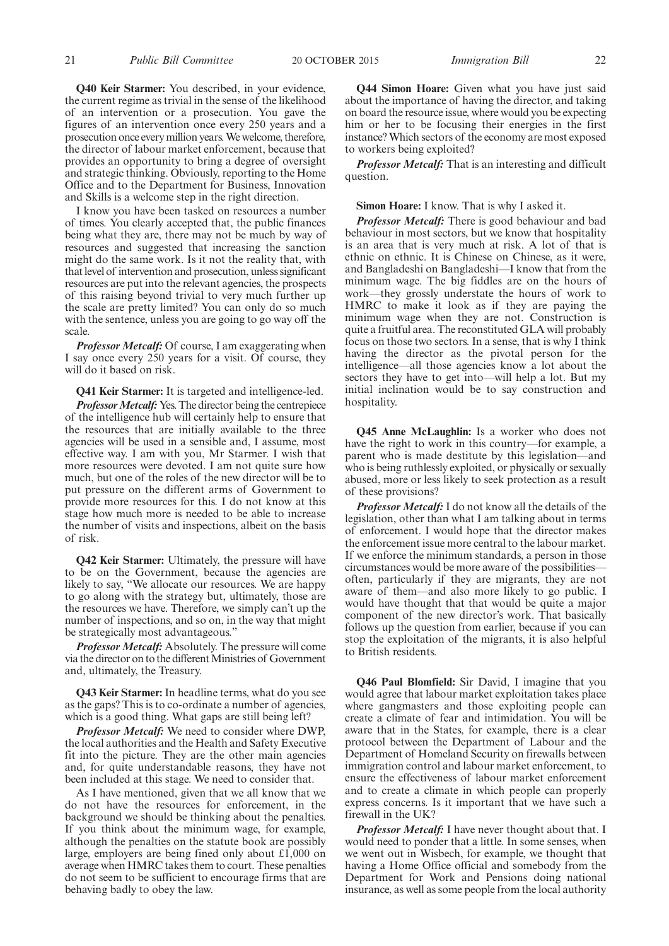**Q40 Keir Starmer:** You described, in your evidence, the current regime as trivial in the sense of the likelihood of an intervention or a prosecution. You gave the figures of an intervention once every 250 years and a prosecution once everymillion years.We welcome, therefore, the director of labour market enforcement, because that provides an opportunity to bring a degree of oversight and strategic thinking. Obviously, reporting to the Home Office and to the Department for Business, Innovation and Skills is a welcome step in the right direction.

I know you have been tasked on resources a number of times. You clearly accepted that, the public finances being what they are, there may not be much by way of resources and suggested that increasing the sanction might do the same work. Is it not the reality that, with that level of intervention and prosecution, unless significant resources are put into the relevant agencies, the prospects of this raising beyond trivial to very much further up the scale are pretty limited? You can only do so much with the sentence, unless you are going to go way off the scale.

*Professor Metcalf:* Of course, I am exaggerating when I say once every 250 years for a visit. Of course, they will do it based on risk.

**Q41 Keir Starmer:** It is targeted and intelligence-led.

**Professor Metcalf:** Yes. The director being the centrepiece of the intelligence hub will certainly help to ensure that the resources that are initially available to the three agencies will be used in a sensible and, I assume, most effective way. I am with you, Mr Starmer. I wish that more resources were devoted. I am not quite sure how much, but one of the roles of the new director will be to put pressure on the different arms of Government to provide more resources for this. I do not know at this stage how much more is needed to be able to increase the number of visits and inspections, albeit on the basis of risk.

**Q42 Keir Starmer:** Ultimately, the pressure will have to be on the Government, because the agencies are likely to say, "We allocate our resources. We are happy to go along with the strategy but, ultimately, those are the resources we have. Therefore, we simply can't up the number of inspections, and so on, in the way that might be strategically most advantageous."

*Professor Metcalf:* Absolutely. The pressure will come via the director on to the different Ministries of Government and, ultimately, the Treasury.

**Q43 Keir Starmer:** In headline terms, what do you see as the gaps? This is to co-ordinate a number of agencies, which is a good thing. What gaps are still being left?

*Professor Metcalf:* We need to consider where DWP, the local authorities and the Health and Safety Executive fit into the picture. They are the other main agencies and, for quite understandable reasons, they have not been included at this stage. We need to consider that.

As I have mentioned, given that we all know that we do not have the resources for enforcement, in the background we should be thinking about the penalties. If you think about the minimum wage, for example, although the penalties on the statute book are possibly large, employers are being fined only about £1,000 on average when HMRC takes them to court. These penalties do not seem to be sufficient to encourage firms that are behaving badly to obey the law.

**Q44 Simon Hoare:** Given what you have just said about the importance of having the director, and taking on board the resource issue, where would you be expecting him or her to be focusing their energies in the first instance? Which sectors of the economy are most exposed to workers being exploited?

*Professor Metcalf:* That is an interesting and difficult question.

**Simon Hoare:** I know. That is why I asked it.

*Professor Metcalf:* There is good behaviour and bad behaviour in most sectors, but we know that hospitality is an area that is very much at risk. A lot of that is ethnic on ethnic. It is Chinese on Chinese, as it were, and Bangladeshi on Bangladeshi—I know that from the minimum wage. The big fiddles are on the hours of work—they grossly understate the hours of work to HMRC to make it look as if they are paying the minimum wage when they are not. Construction is quite a fruitful area. The reconstituted GLA will probably focus on those two sectors. In a sense, that is why I think having the director as the pivotal person for the intelligence—all those agencies know a lot about the sectors they have to get into—will help a lot. But my initial inclination would be to say construction and hospitality.

**Q45 Anne McLaughlin:** Is a worker who does not have the right to work in this country—for example, a parent who is made destitute by this legislation—and who is being ruthlessly exploited, or physically or sexually abused, more or less likely to seek protection as a result of these provisions?

*Professor Metcalf:* I do not know all the details of the legislation, other than what I am talking about in terms of enforcement. I would hope that the director makes the enforcement issue more central to the labour market. If we enforce the minimum standards, a person in those circumstances would be more aware of the possibilities often, particularly if they are migrants, they are not aware of them—and also more likely to go public. I would have thought that that would be quite a major component of the new director's work. That basically follows up the question from earlier, because if you can stop the exploitation of the migrants, it is also helpful to British residents.

**Q46 Paul Blomfield:** Sir David, I imagine that you would agree that labour market exploitation takes place where gangmasters and those exploiting people can create a climate of fear and intimidation. You will be aware that in the States, for example, there is a clear protocol between the Department of Labour and the Department of Homeland Security on firewalls between immigration control and labour market enforcement, to ensure the effectiveness of labour market enforcement and to create a climate in which people can properly express concerns. Is it important that we have such a firewall in the UK?

*Professor Metcalf:* I have never thought about that. I would need to ponder that a little. In some senses, when we went out in Wisbech, for example, we thought that having a Home Office official and somebody from the Department for Work and Pensions doing national insurance, as well as some people from the local authority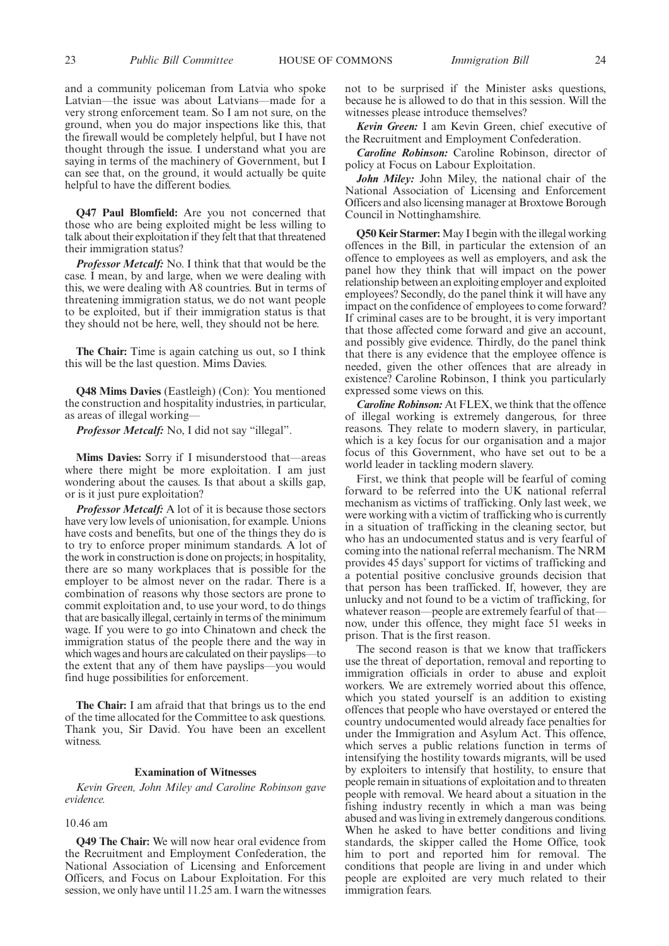and a community policeman from Latvia who spoke Latvian—the issue was about Latvians—made for a very strong enforcement team. So I am not sure, on the ground, when you do major inspections like this, that the firewall would be completely helpful, but I have not thought through the issue. I understand what you are saying in terms of the machinery of Government, but I can see that, on the ground, it would actually be quite helpful to have the different bodies.

**Q47 Paul Blomfield:** Are you not concerned that those who are being exploited might be less willing to talk about their exploitation if they felt that that threatened their immigration status?

*Professor Metcalf:* No. I think that that would be the case. I mean, by and large, when we were dealing with this, we were dealing with A8 countries. But in terms of threatening immigration status, we do not want people to be exploited, but if their immigration status is that they should not be here, well, they should not be here.

**The Chair:** Time is again catching us out, so I think this will be the last question. Mims Davies.

**Q48 Mims Davies** (Eastleigh) (Con): You mentioned the construction and hospitality industries, in particular, as areas of illegal working—

*Professor Metcalf:* No, I did not say "illegal".

**Mims Davies:** Sorry if I misunderstood that—areas where there might be more exploitation. I am just wondering about the causes. Is that about a skills gap, or is it just pure exploitation?

*Professor Metcalf:* A lot of it is because those sectors have very low levels of unionisation, for example. Unions have costs and benefits, but one of the things they do is to try to enforce proper minimum standards. A lot of the work in construction is done on projects; in hospitality, there are so many workplaces that is possible for the employer to be almost never on the radar. There is a combination of reasons why those sectors are prone to commit exploitation and, to use your word, to do things that are basically illegal, certainly in terms of the minimum wage. If you were to go into Chinatown and check the immigration status of the people there and the way in which wages and hours are calculated on their payslips—to the extent that any of them have payslips—you would find huge possibilities for enforcement.

**The Chair:** I am afraid that that brings us to the end of the time allocated for the Committee to ask questions. Thank you, Sir David. You have been an excellent witness.

#### **Examination of Witnesses**

*Kevin Green, John Miley and Caroline Robinson gave evidence.*

#### 10.46 am

**Q49 The Chair:** We will now hear oral evidence from the Recruitment and Employment Confederation, the National Association of Licensing and Enforcement Officers, and Focus on Labour Exploitation. For this session, we only have until 11.25 am. I warn the witnesses not to be surprised if the Minister asks questions, because he is allowed to do that in this session. Will the witnesses please introduce themselves?

*Kevin Green:* I am Kevin Green, chief executive of the Recruitment and Employment Confederation.

*Caroline Robinson:* Caroline Robinson, director of policy at Focus on Labour Exploitation.

*John Miley:* John Miley, the national chair of the National Association of Licensing and Enforcement Officers and also licensing manager at Broxtowe Borough Council in Nottinghamshire.

**Q50 Keir Starmer:** May I begin with the illegal working offences in the Bill, in particular the extension of an offence to employees as well as employers, and ask the panel how they think that will impact on the power relationship between an exploiting employer and exploited employees? Secondly, do the panel think it will have any impact on the confidence of employees to come forward? If criminal cases are to be brought, it is very important that those affected come forward and give an account, and possibly give evidence. Thirdly, do the panel think that there is any evidence that the employee offence is needed, given the other offences that are already in existence? Caroline Robinson, I think you particularly expressed some views on this.

*Caroline Robinson:* At FLEX, we think that the offence of illegal working is extremely dangerous, for three reasons. They relate to modern slavery, in particular, which is a key focus for our organisation and a major focus of this Government, who have set out to be a world leader in tackling modern slavery.

First, we think that people will be fearful of coming forward to be referred into the UK national referral mechanism as victims of trafficking. Only last week, we were working with a victim of trafficking who is currently in a situation of trafficking in the cleaning sector, but who has an undocumented status and is very fearful of coming into the national referral mechanism. The NRM provides 45 days' support for victims of trafficking and a potential positive conclusive grounds decision that that person has been trafficked. If, however, they are unlucky and not found to be a victim of trafficking, for whatever reason—people are extremely fearful of that now, under this offence, they might face 51 weeks in prison. That is the first reason.

The second reason is that we know that traffickers use the threat of deportation, removal and reporting to immigration officials in order to abuse and exploit workers. We are extremely worried about this offence, which you stated yourself is an addition to existing offences that people who have overstayed or entered the country undocumented would already face penalties for under the Immigration and Asylum Act. This offence, which serves a public relations function in terms of intensifying the hostility towards migrants, will be used by exploiters to intensify that hostility, to ensure that people remain in situations of exploitation and to threaten people with removal. We heard about a situation in the fishing industry recently in which a man was being abused and was living in extremely dangerous conditions. When he asked to have better conditions and living standards, the skipper called the Home Office, took him to port and reported him for removal. The conditions that people are living in and under which people are exploited are very much related to their immigration fears.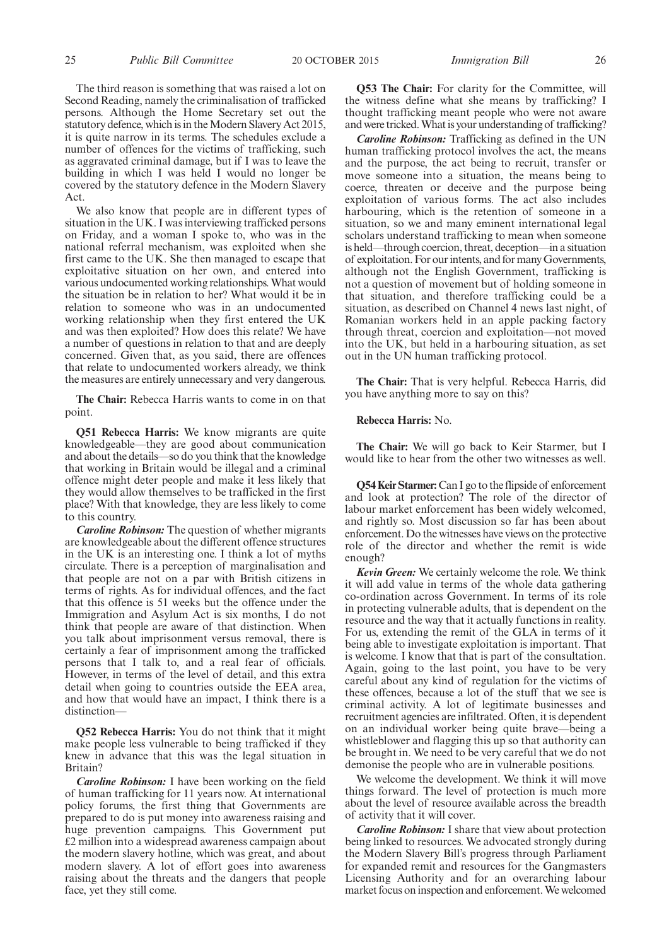The third reason is something that was raised a lot on Second Reading, namely the criminalisation of trafficked persons. Although the Home Secretary set out the statutory defence, which is in the Modern Slavery Act 2015, it is quite narrow in its terms. The schedules exclude a number of offences for the victims of trafficking, such as aggravated criminal damage, but if I was to leave the building in which I was held I would no longer be covered by the statutory defence in the Modern Slavery Act.

We also know that people are in different types of situation in the UK. I was interviewing trafficked persons on Friday, and a woman I spoke to, who was in the national referral mechanism, was exploited when she first came to the UK. She then managed to escape that exploitative situation on her own, and entered into various undocumented working relationships.What would the situation be in relation to her? What would it be in relation to someone who was in an undocumented working relationship when they first entered the UK and was then exploited? How does this relate? We have a number of questions in relation to that and are deeply concerned. Given that, as you said, there are offences that relate to undocumented workers already, we think the measures are entirely unnecessary and very dangerous.

**The Chair:** Rebecca Harris wants to come in on that point.

**Q51 Rebecca Harris:** We know migrants are quite knowledgeable—they are good about communication and about the details—so do you think that the knowledge that working in Britain would be illegal and a criminal offence might deter people and make it less likely that they would allow themselves to be trafficked in the first place? With that knowledge, they are less likely to come to this country.

*Caroline Robinson:* The question of whether migrants are knowledgeable about the different offence structures in the UK is an interesting one. I think a lot of myths circulate. There is a perception of marginalisation and that people are not on a par with British citizens in terms of rights. As for individual offences, and the fact that this offence is 51 weeks but the offence under the Immigration and Asylum Act is six months, I do not think that people are aware of that distinction. When you talk about imprisonment versus removal, there is certainly a fear of imprisonment among the trafficked persons that I talk to, and a real fear of officials. However, in terms of the level of detail, and this extra detail when going to countries outside the EEA area, and how that would have an impact, I think there is a distinction—

**Q52 Rebecca Harris:** You do not think that it might make people less vulnerable to being trafficked if they knew in advance that this was the legal situation in Britain?

*Caroline Robinson:* I have been working on the field of human trafficking for 11 years now. At international policy forums, the first thing that Governments are prepared to do is put money into awareness raising and huge prevention campaigns. This Government put £2 million into a widespread awareness campaign about the modern slavery hotline, which was great, and about modern slavery. A lot of effort goes into awareness raising about the threats and the dangers that people face, yet they still come.

**Q53 The Chair:** For clarity for the Committee, will the witness define what she means by trafficking? I thought trafficking meant people who were not aware and were tricked.What is your understanding of trafficking?

*Caroline Robinson:* Trafficking as defined in the UN human trafficking protocol involves the act, the means and the purpose, the act being to recruit, transfer or move someone into a situation, the means being to coerce, threaten or deceive and the purpose being exploitation of various forms. The act also includes harbouring, which is the retention of someone in a situation, so we and many eminent international legal scholars understand trafficking to mean when someone is held—through coercion, threat, deception—in a situation of exploitation. For our intents, and formanyGovernments, although not the English Government, trafficking is not a question of movement but of holding someone in that situation, and therefore trafficking could be a situation, as described on Channel 4 news last night, of Romanian workers held in an apple packing factory through threat, coercion and exploitation—not moved into the UK, but held in a harbouring situation, as set out in the UN human trafficking protocol.

**The Chair:** That is very helpful. Rebecca Harris, did you have anything more to say on this?

#### **Rebecca Harris:** No.

**The Chair:** We will go back to Keir Starmer, but I would like to hear from the other two witnesses as well.

**Q54 Keir Starmer:**Can I go to the flipside of enforcement and look at protection? The role of the director of labour market enforcement has been widely welcomed, and rightly so. Most discussion so far has been about enforcement. Do the witnesses have views on the protective role of the director and whether the remit is wide enough?

*Kevin Green:* We certainly welcome the role. We think it will add value in terms of the whole data gathering co-ordination across Government. In terms of its role in protecting vulnerable adults, that is dependent on the resource and the way that it actually functions in reality. For us, extending the remit of the GLA in terms of it being able to investigate exploitation is important. That is welcome. I know that that is part of the consultation. Again, going to the last point, you have to be very careful about any kind of regulation for the victims of these offences, because a lot of the stuff that we see is criminal activity. A lot of legitimate businesses and recruitment agencies are infiltrated. Often, it is dependent on an individual worker being quite brave—being a whistleblower and flagging this up so that authority can be brought in. We need to be very careful that we do not demonise the people who are in vulnerable positions.

We welcome the development. We think it will move things forward. The level of protection is much more about the level of resource available across the breadth of activity that it will cover.

*Caroline Robinson:* I share that view about protection being linked to resources. We advocated strongly during the Modern Slavery Bill's progress through Parliament for expanded remit and resources for the Gangmasters Licensing Authority and for an overarching labour market focus on inspection and enforcement.We welcomed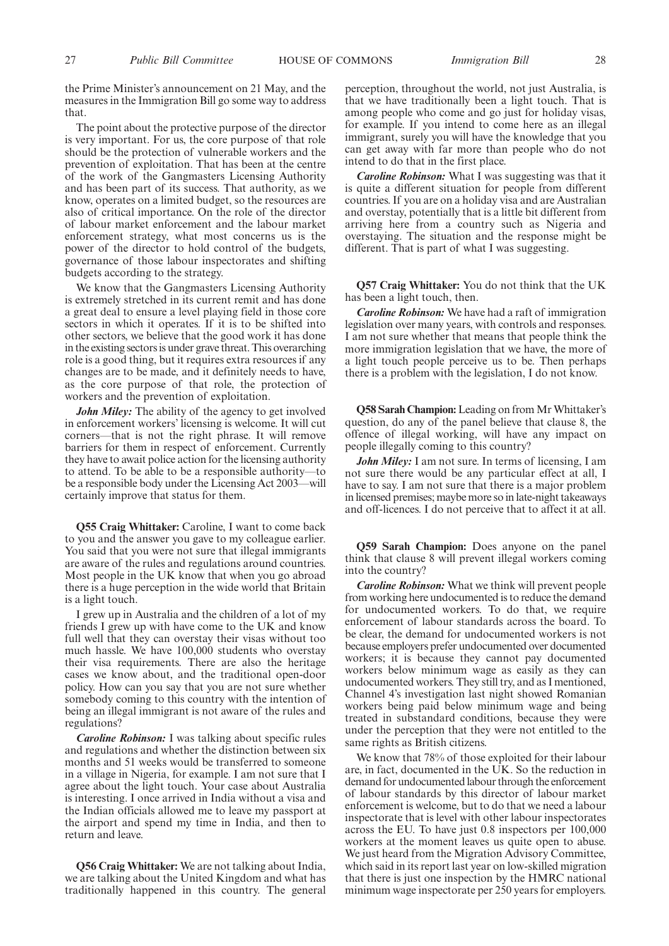the Prime Minister's announcement on 21 May, and the measures in the Immigration Bill go some way to address that.

The point about the protective purpose of the director is very important. For us, the core purpose of that role should be the protection of vulnerable workers and the prevention of exploitation. That has been at the centre of the work of the Gangmasters Licensing Authority and has been part of its success. That authority, as we know, operates on a limited budget, so the resources are also of critical importance. On the role of the director of labour market enforcement and the labour market enforcement strategy, what most concerns us is the power of the director to hold control of the budgets, governance of those labour inspectorates and shifting budgets according to the strategy.

We know that the Gangmasters Licensing Authority is extremely stretched in its current remit and has done a great deal to ensure a level playing field in those core sectors in which it operates. If it is to be shifted into other sectors, we believe that the good work it has done in the existing sectors is under grave threat. This overarching role is a good thing, but it requires extra resources if any changes are to be made, and it definitely needs to have, as the core purpose of that role, the protection of workers and the prevention of exploitation.

*John Miley:* The ability of the agency to get involved in enforcement workers' licensing is welcome. It will cut corners—that is not the right phrase. It will remove barriers for them in respect of enforcement. Currently they have to await police action for the licensing authority to attend. To be able to be a responsible authority—to be a responsible body under the Licensing Act 2003—will certainly improve that status for them.

**Q55 Craig Whittaker:** Caroline, I want to come back to you and the answer you gave to my colleague earlier. You said that you were not sure that illegal immigrants are aware of the rules and regulations around countries. Most people in the UK know that when you go abroad there is a huge perception in the wide world that Britain is a light touch.

I grew up in Australia and the children of a lot of my friends I grew up with have come to the UK and know full well that they can overstay their visas without too much hassle. We have 100,000 students who overstay their visa requirements. There are also the heritage cases we know about, and the traditional open-door policy. How can you say that you are not sure whether somebody coming to this country with the intention of being an illegal immigrant is not aware of the rules and regulations?

*Caroline Robinson:* I was talking about specific rules and regulations and whether the distinction between six months and 51 weeks would be transferred to someone in a village in Nigeria, for example. I am not sure that I agree about the light touch. Your case about Australia is interesting. I once arrived in India without a visa and the Indian officials allowed me to leave my passport at the airport and spend my time in India, and then to return and leave.

**Q56 Craig Whittaker:** We are not talking about India, we are talking about the United Kingdom and what has traditionally happened in this country. The general

perception, throughout the world, not just Australia, is that we have traditionally been a light touch. That is among people who come and go just for holiday visas, for example. If you intend to come here as an illegal immigrant, surely you will have the knowledge that you can get away with far more than people who do not intend to do that in the first place.

*Caroline Robinson:* What I was suggesting was that it is quite a different situation for people from different countries. If you are on a holiday visa and are Australian and overstay, potentially that is a little bit different from arriving here from a country such as Nigeria and overstaying. The situation and the response might be different. That is part of what I was suggesting.

**Q57 Craig Whittaker:** You do not think that the UK has been a light touch, then.

*Caroline Robinson:* We have had a raft of immigration legislation over many years, with controls and responses. I am not sure whether that means that people think the more immigration legislation that we have, the more of a light touch people perceive us to be. Then perhaps there is a problem with the legislation, I do not know.

**Q58 Sarah Champion:**Leading on from Mr Whittaker's question, do any of the panel believe that clause 8, the offence of illegal working, will have any impact on people illegally coming to this country?

*John Miley:* I am not sure. In terms of licensing, I am not sure there would be any particular effect at all, I have to say. I am not sure that there is a major problem in licensed premises; maybe more so in late-night takeaways and off-licences. I do not perceive that to affect it at all.

**Q59 Sarah Champion:** Does anyone on the panel think that clause 8 will prevent illegal workers coming into the country?

*Caroline Robinson:* What we think will prevent people from working here undocumented is to reduce the demand for undocumented workers. To do that, we require enforcement of labour standards across the board. To be clear, the demand for undocumented workers is not because employers prefer undocumented over documented workers; it is because they cannot pay documented workers below minimum wage as easily as they can undocumented workers. They still try, and as I mentioned, Channel 4's investigation last night showed Romanian workers being paid below minimum wage and being treated in substandard conditions, because they were under the perception that they were not entitled to the same rights as British citizens.

We know that 78% of those exploited for their labour are, in fact, documented in the UK. So the reduction in demand for undocumented labour through the enforcement of labour standards by this director of labour market enforcement is welcome, but to do that we need a labour inspectorate that is level with other labour inspectorates across the EU. To have just 0.8 inspectors per 100,000 workers at the moment leaves us quite open to abuse. We just heard from the Migration Advisory Committee, which said in its report last year on low-skilled migration that there is just one inspection by the HMRC national minimum wage inspectorate per 250 years for employers.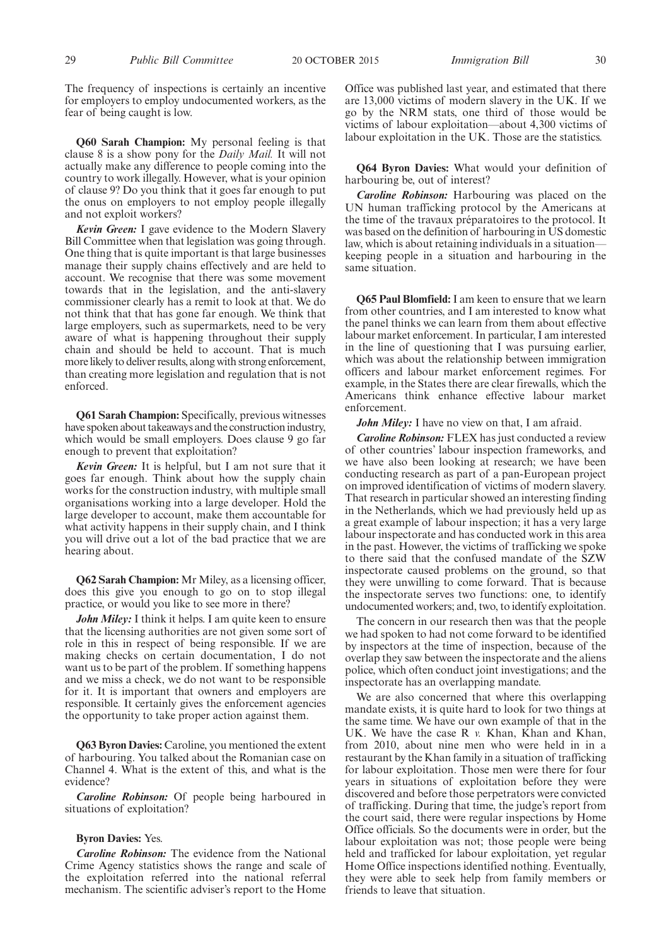The frequency of inspections is certainly an incentive for employers to employ undocumented workers, as the fear of being caught is low.

**Q60 Sarah Champion:** My personal feeling is that clause 8 is a show pony for the *Daily Mail.* It will not actually make any difference to people coming into the country to work illegally. However, what is your opinion of clause 9? Do you think that it goes far enough to put the onus on employers to not employ people illegally and not exploit workers?

*Kevin Green:* I gave evidence to the Modern Slavery Bill Committee when that legislation was going through. One thing that is quite important is that large businesses manage their supply chains effectively and are held to account. We recognise that there was some movement towards that in the legislation, and the anti-slavery commissioner clearly has a remit to look at that. We do not think that that has gone far enough. We think that large employers, such as supermarkets, need to be very aware of what is happening throughout their supply chain and should be held to account. That is much more likely to deliver results, along with strong enforcement, than creating more legislation and regulation that is not enforced.

**Q61 Sarah Champion:** Specifically, previous witnesses have spoken about takeaways and the construction industry, which would be small employers. Does clause 9 go far enough to prevent that exploitation?

*Kevin Green:* It is helpful, but I am not sure that it goes far enough. Think about how the supply chain works for the construction industry, with multiple small organisations working into a large developer. Hold the large developer to account, make them accountable for what activity happens in their supply chain, and I think you will drive out a lot of the bad practice that we are hearing about.

**Q62 Sarah Champion:** Mr Miley, as a licensing officer, does this give you enough to go on to stop illegal practice, or would you like to see more in there?

*John Miley:* I think it helps. I am quite keen to ensure that the licensing authorities are not given some sort of role in this in respect of being responsible. If we are making checks on certain documentation, I do not want us to be part of the problem. If something happens and we miss a check, we do not want to be responsible for it. It is important that owners and employers are responsible. It certainly gives the enforcement agencies the opportunity to take proper action against them.

**Q63 Byron Davies:** Caroline, you mentioned the extent of harbouring. You talked about the Romanian case on Channel 4. What is the extent of this, and what is the evidence?

*Caroline Robinson:* Of people being harboured in situations of exploitation?

#### **Byron Davies:** Yes.

*Caroline Robinson:* The evidence from the National Crime Agency statistics shows the range and scale of the exploitation referred into the national referral mechanism. The scientific adviser's report to the Home Office was published last year, and estimated that there are 13,000 victims of modern slavery in the UK. If we go by the NRM stats, one third of those would be victims of labour exploitation—about 4,300 victims of labour exploitation in the UK. Those are the statistics.

**Q64 Byron Davies:** What would your definition of harbouring be, out of interest?

*Caroline Robinson:* Harbouring was placed on the UN human trafficking protocol by the Americans at the time of the travaux préparatoires to the protocol. It was based on the definition of harbouring in US domestic law, which is about retaining individuals in a situation keeping people in a situation and harbouring in the same situation.

**Q65 Paul Blomfield:** I am keen to ensure that we learn from other countries, and I am interested to know what the panel thinks we can learn from them about effective labour market enforcement. In particular, I am interested in the line of questioning that I was pursuing earlier, which was about the relationship between immigration officers and labour market enforcement regimes. For example, in the States there are clear firewalls, which the Americans think enhance effective labour market enforcement.

*John Miley:* I have no view on that, I am afraid.

*Caroline Robinson:* FLEX has just conducted a review of other countries' labour inspection frameworks, and we have also been looking at research; we have been conducting research as part of a pan-European project on improved identification of victims of modern slavery. That research in particular showed an interesting finding in the Netherlands, which we had previously held up as a great example of labour inspection; it has a very large labour inspectorate and has conducted work in this area in the past. However, the victims of trafficking we spoke to there said that the confused mandate of the SZW inspectorate caused problems on the ground, so that they were unwilling to come forward. That is because the inspectorate serves two functions: one, to identify undocumented workers; and, two, to identify exploitation.

The concern in our research then was that the people we had spoken to had not come forward to be identified by inspectors at the time of inspection, because of the overlap they saw between the inspectorate and the aliens police, which often conduct joint investigations; and the inspectorate has an overlapping mandate.

We are also concerned that where this overlapping mandate exists, it is quite hard to look for two things at the same time. We have our own example of that in the UK. We have the case R *v*. Khan, Khan and Khan, from 2010, about nine men who were held in in a restaurant by the Khan family in a situation of trafficking for labour exploitation. Those men were there for four years in situations of exploitation before they were discovered and before those perpetrators were convicted of trafficking. During that time, the judge's report from the court said, there were regular inspections by Home Office officials. So the documents were in order, but the labour exploitation was not; those people were being held and trafficked for labour exploitation, yet regular Home Office inspections identified nothing. Eventually, they were able to seek help from family members or friends to leave that situation.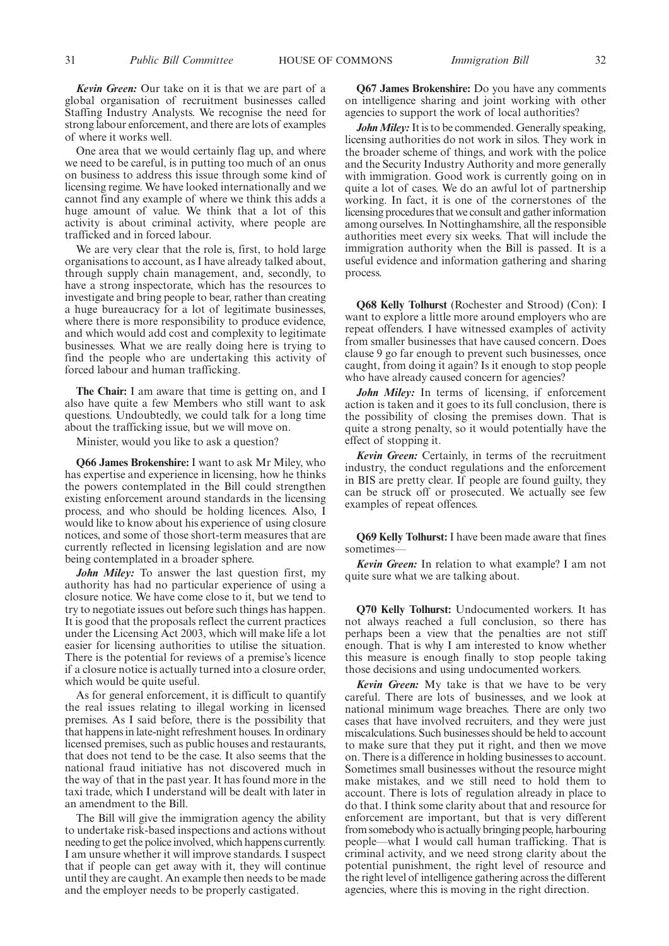*Kevin Green:* Our take on it is that we are part of a global organisation of recruitment businesses called Staffing Industry Analysts. We recognise the need for strong labour enforcement, and there are lots of examples of where it works well.

One area that we would certainly flag up, and where we need to be careful, is in putting too much of an onus on business to address this issue through some kind of licensing regime. We have looked internationally and we cannot find any example of where we think this adds a huge amount of value. We think that a lot of this activity is about criminal activity, where people are trafficked and in forced labour.

We are very clear that the role is, first, to hold large organisations to account, as I have already talked about, through supply chain management, and, secondly, to have a strong inspectorate, which has the resources to investigate and bring people to bear, rather than creating a huge bureaucracy for a lot of legitimate businesses, where there is more responsibility to produce evidence, and which would add cost and complexity to legitimate businesses. What we are really doing here is trying to find the people who are undertaking this activity of forced labour and human trafficking.

**The Chair:** I am aware that time is getting on, and I also have quite a few Members who still want to ask questions. Undoubtedly, we could talk for a long time about the trafficking issue, but we will move on.

Minister, would you like to ask a question?

**Q66 James Brokenshire:** I want to ask Mr Miley, who has expertise and experience in licensing, how he thinks the powers contemplated in the Bill could strengthen existing enforcement around standards in the licensing process, and who should be holding licences. Also, I would like to know about his experience of using closure notices, and some of those short-term measures that are currently reflected in licensing legislation and are now being contemplated in a broader sphere.

*John Miley:* To answer the last question first, my authority has had no particular experience of using a closure notice. We have come close to it, but we tend to try to negotiate issues out before such things has happen. It is good that the proposals reflect the current practices under the Licensing Act 2003, which will make life a lot easier for licensing authorities to utilise the situation. There is the potential for reviews of a premise's licence if a closure notice is actually turned into a closure order, which would be quite useful.

As for general enforcement, it is difficult to quantify the real issues relating to illegal working in licensed premises. As I said before, there is the possibility that that happens in late-night refreshment houses. In ordinary licensed premises, such as public houses and restaurants, that does not tend to be the case. It also seems that the national fraud initiative has not discovered much in the way of that in the past year. It has found more in the taxi trade, which I understand will be dealt with later in an amendment to the Bill.

The Bill will give the immigration agency the ability to undertake risk-based inspections and actions without needing to get the police involved, which happens currently. I am unsure whether it will improve standards. I suspect that if people can get away with it, they will continue until they are caught. An example then needs to be made and the employer needs to be properly castigated.

**Q67 James Brokenshire:** Do you have any comments on intelligence sharing and joint working with other agencies to support the work of local authorities?

*John Miley:* It is to be commended. Generally speaking, licensing authorities do not work in silos. They work in the broader scheme of things, and work with the police and the Security Industry Authority and more generally with immigration. Good work is currently going on in quite a lot of cases. We do an awful lot of partnership working. In fact, it is one of the cornerstones of the licensing procedures that we consult and gather information among ourselves. In Nottinghamshire, all the responsible authorities meet every six weeks. That will include the immigration authority when the Bill is passed. It is a useful evidence and information gathering and sharing process.

**Q68 Kelly Tolhurst** (Rochester and Strood) (Con): I want to explore a little more around employers who are repeat offenders. I have witnessed examples of activity from smaller businesses that have caused concern. Does clause 9 go far enough to prevent such businesses, once caught, from doing it again? Is it enough to stop people who have already caused concern for agencies?

John Miley: In terms of licensing, if enforcement action is taken and it goes to its full conclusion, there is the possibility of closing the premises down. That is quite a strong penalty, so it would potentially have the effect of stopping it.

*Kevin Green:* Certainly, in terms of the recruitment industry, the conduct regulations and the enforcement in BIS are pretty clear. If people are found guilty, they can be struck off or prosecuted. We actually see few examples of repeat offences.

**Q69 Kelly Tolhurst:** I have been made aware that fines sometimes—

*Kevin Green:* In relation to what example? I am not quite sure what we are talking about.

**Q70 Kelly Tolhurst:** Undocumented workers. It has not always reached a full conclusion, so there has perhaps been a view that the penalties are not stiff enough. That is why I am interested to know whether this measure is enough finally to stop people taking those decisions and using undocumented workers.

*Kevin Green:* My take is that we have to be very careful. There are lots of businesses, and we look at national minimum wage breaches. There are only two cases that have involved recruiters, and they were just miscalculations. Such businesses should be held to account to make sure that they put it right, and then we move on. There is a difference in holding businesses to account. Sometimes small businesses without the resource might make mistakes, and we still need to hold them to account. There is lots of regulation already in place to do that. I think some clarity about that and resource for enforcement are important, but that is very different from somebody who is actually bringing people, harbouring people—what I would call human trafficking. That is criminal activity, and we need strong clarity about the potential punishment, the right level of resource and the right level of intelligence gathering across the different agencies, where this is moving in the right direction.